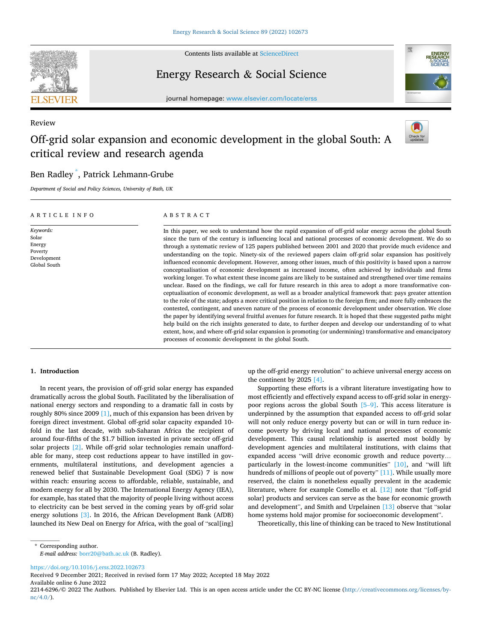<span id="page-0-0"></span>

Contents lists available at [ScienceDirect](www.sciencedirect.com/science/journal/22146296)

## Energy Research & Social Science



journal homepage: [www.elsevier.com/locate/erss](https://www.elsevier.com/locate/erss)

## Review

# Off-grid solar expansion and economic development in the global South: A critical review and research agenda



## Ben Radley \* , Patrick Lehmann-Grube

*Department of Social and Policy Sciences, University of Bath, UK* 

| ARTICLE INFO                                                           | ABSTRACT                                                                                                                                                                                                                                                                                                                                                                                                                                                                                                                                                                                                                                                                                                                                                                                                                                                                                                                                                                                                                                                                                                                                                                                                                                                                                                                                                                                                                                                                                                                                                                                                                                                                                           |
|------------------------------------------------------------------------|----------------------------------------------------------------------------------------------------------------------------------------------------------------------------------------------------------------------------------------------------------------------------------------------------------------------------------------------------------------------------------------------------------------------------------------------------------------------------------------------------------------------------------------------------------------------------------------------------------------------------------------------------------------------------------------------------------------------------------------------------------------------------------------------------------------------------------------------------------------------------------------------------------------------------------------------------------------------------------------------------------------------------------------------------------------------------------------------------------------------------------------------------------------------------------------------------------------------------------------------------------------------------------------------------------------------------------------------------------------------------------------------------------------------------------------------------------------------------------------------------------------------------------------------------------------------------------------------------------------------------------------------------------------------------------------------------|
| Keywords:<br>Solar<br>Energy<br>Poverty<br>Development<br>Global South | In this paper, we seek to understand how the rapid expansion of off-grid solar energy across the global South<br>since the turn of the century is influencing local and national processes of economic development. We do so<br>through a systematic review of 125 papers published between 2001 and 2020 that provide much evidence and<br>understanding on the topic. Ninety-six of the reviewed papers claim off-grid solar expansion has positively<br>influenced economic development. However, among other issues, much of this positivity is based upon a narrow<br>conceptualisation of economic development as increased income, often achieved by individuals and firms<br>working longer. To what extent these income gains are likely to be sustained and strengthened over time remains<br>unclear. Based on the findings, we call for future research in this area to adopt a more transformative con-<br>ceptualisation of economic development, as well as a broader analytical framework that: pays greater attention<br>to the role of the state; adopts a more critical position in relation to the foreign firm; and more fully embraces the<br>contested, contingent, and uneven nature of the process of economic development under observation. We close<br>the paper by identifying several fruitful avenues for future research. It is hoped that these suggested paths might<br>help build on the rich insights generated to date, to further deepen and develop our understanding of to what<br>extent, how, and where off-grid solar expansion is promoting (or undermining) transformative and emancipatory<br>processes of economic development in the global South. |

#### **1. Introduction**

In recent years, the provision of off-grid solar energy has expanded dramatically across the global South. Facilitated by the liberalisation of national energy sectors and responding to a dramatic fall in costs by roughly 80% since 2009 [\[1\],](#page-12-0) much of this expansion has been driven by foreign direct investment. Global off-grid solar capacity expanded 10 fold in the last decade, with sub-Saharan Africa the recipient of around four-fifths of the \$1.7 billion invested in private sector off-grid solar projects [\[2\]](#page-12-0). While off-grid solar technologies remain unaffordable for many, steep cost reductions appear to have instilled in governments, multilateral institutions, and development agencies a renewed belief that Sustainable Development Goal (SDG) 7 is now within reach: ensuring access to affordable, reliable, sustainable, and modern energy for all by 2030. The International Energy Agency (IEA), for example, has stated that the majority of people living without access to electricity can be best served in the coming years by off-grid solar energy solutions [\[3\].](#page-12-0) In 2016, the African Development Bank (AfDB) launched its New Deal on Energy for Africa, with the goal of "scal[ing]

up the off-grid energy revolution" to achieve universal energy access on the continent by 2025 [\[4\].](#page-12-0)

Supporting these efforts is a vibrant literature investigating how to most efficiently and effectively expand access to off-grid solar in energypoor regions across the global South [\[5](#page-12-0)–9]. This access literature is underpinned by the assumption that expanded access to off-grid solar will not only reduce energy poverty but can or will in turn reduce income poverty by driving local and national processes of economic development. This causal relationship is asserted most boldly by development agencies and multilateral institutions, with claims that expanded access "will drive economic growth and reduce poverty… particularly in the lowest-income communities" [\[10\],](#page-12-0) and "will lift hundreds of millions of people out of poverty" [\[11\]](#page-12-0). While usually more reserved, the claim is nonetheless equally prevalent in the academic literature, where for example Comello et al. [\[12\]](#page-12-0) note that "[off-grid solar] products and services can serve as the base for economic growth and development", and Smith and Urpelainen [\[13\]](#page-12-0) observe that "solar home systems hold major promise for socioeconomic development".

Theoretically, this line of thinking can be traced to New Institutional

*E-mail address:* [borr20@bath.ac.uk](mailto:borr20@bath.ac.uk) (B. Radley).

<https://doi.org/10.1016/j.erss.2022.102673>

Available online 6 June 2022 Received 9 December 2021; Received in revised form 17 May 2022; Accepted 18 May 2022

<sup>\*</sup> Corresponding author.

<sup>2214-6296/© 2022</sup> The Authors. Published by Elsevier Ltd. This is an open access article under the CC BY-NC license([http://creativecommons.org/licenses/by](http://creativecommons.org/licenses/by-nc/4.0/) $nc/4.0/$ ).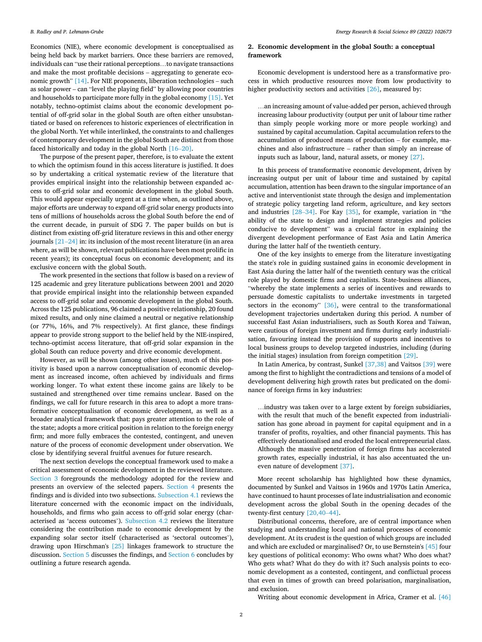<span id="page-1-0"></span>Economics (NIE), where economic development is conceptualised as being held back by market barriers. Once these barriers are removed, individuals can "use their rational perceptions…to navigate transactions and make the most profitable decisions – aggregating to generate economic growth" [\[14\].](#page-12-0) For NIE proponents, liberation technologies – such as solar power – can "level the playing field" by allowing poor countries and households to participate more fully in the global economy [\[15\]](#page-12-0). Yet notably, techno-optimist claims about the economic development potential of off-grid solar in the global South are often either unsubstantiated or based on references to historic experiences of electrification in the global North. Yet while interlinked, the constraints to and challenges of contemporary development in the global South are distinct from those faced historically and today in the global North [\[16](#page-12-0)–20].

The purpose of the present paper, therefore, is to evaluate the extent to which the optimism found in this access literature is justified. It does so by undertaking a critical systematic review of the literature that provides empirical insight into the relationship between expanded access to off-grid solar and economic development in the global South. This would appear especially urgent at a time when, as outlined above, major efforts are underway to expand off-grid solar energy products into tens of millions of households across the global South before the end of the current decade, in pursuit of SDG 7. The paper builds on but is distinct from existing off-grid literature reviews in this and other energy journals [\[21](#page-12-0)–24] in: its inclusion of the most recent literature (in an area where, as will be shown, relevant publications have been most prolific in recent years); its conceptual focus on economic development; and its exclusive concern with the global South.

The work presented in the sections that follow is based on a review of 125 academic and grey literature publications between 2001 and 2020 that provide empirical insight into the relationship between expanded access to off-grid solar and economic development in the global South. Across the 125 publications, 96 claimed a positive relationship, 20 found mixed results, and only nine claimed a neutral or negative relationship (or 77%, 16%, and 7% respectively). At first glance, these findings appear to provide strong support to the belief held by the NIE-inspired, techno-optimist access literature, that off-grid solar expansion in the global South can reduce poverty and drive economic development.

However, as will be shown (among other issues), much of this positivity is based upon a narrow conceptualisation of economic development as increased income, often achieved by individuals and firms working longer. To what extent these income gains are likely to be sustained and strengthened over time remains unclear. Based on the findings, we call for future research in this area to adopt a more transformative conceptualisation of economic development, as well as a broader analytical framework that: pays greater attention to the role of the state; adopts a more critical position in relation to the foreign energy firm; and more fully embraces the contested, contingent, and uneven nature of the process of economic development under observation. We close by identifying several fruitful avenues for future research.

The next section develops the conceptual framework used to make a critical assessment of economic development in the reviewed literature. [Section 3](#page-2-0) foregrounds the methodology adopted for the review and presents an overview of the selected papers. [Section 4](#page-2-0) presents the findings and is divided into two subsections. [Subsection 4.1](#page-2-0) reviews the literature concerned with the economic impact on the individuals, households, and firms who gain access to off-grid solar energy (characterised as 'access outcomes'). [Subsection 4.2](#page-4-0) reviews the literature considering the contribution made to economic development by the expanding solar sector itself (characterised as 'sectoral outcomes'), drawing upon Hirschman's [\[25\]](#page-12-0) linkages framework to structure the discussion. [Section 5](#page-6-0) discusses the findings, and [Section 6](#page-8-0) concludes by outlining a future research agenda.

## **2. Economic development in the global South: a conceptual framework**

Economic development is understood here as a transformative process in which productive resources move from low productivity to higher productivity sectors and activities [\[26\]](#page-12-0), measured by:

…an increasing amount of value-added per person, achieved through increasing labour productivity (output per unit of labour time rather than simply people working more or more people working) and sustained by capital accumulation. Capital accumulation refers to the accumulation of produced means of production – for example, machines and also infrastructure – rather than simply an increase of inputs such as labour, land, natural assets, or money [\[27\].](#page-12-0)

In this process of transformative economic development, driven by increasing output per unit of labour time and sustained by capital accumulation, attention has been drawn to the singular importance of an active and interventionist state through the design and implementation of strategic policy targeting land reform, agriculture, and key sectors and industries [28–[34\].](#page-12-0) For Kay [\[35\]](#page-12-0), for example, variation in "the ability of the state to design and implement strategies and policies conducive to development" was a crucial factor in explaining the divergent development performance of East Asia and Latin America during the latter half of the twentieth century.

One of the key insights to emerge from the literature investigating the state's role in guiding sustained gains in economic development in East Asia during the latter half of the twentieth century was the critical role played by domestic firms and capitalists. State-business alliances, "whereby the state implements a series of incentives and rewards to persuade domestic capitalists to undertake investments in targeted sectors in the economy" [\[36\]](#page-12-0), were central to the transformational development trajectories undertaken during this period. A number of successful East Asian industrialisers, such as South Korea and Taiwan, were cautious of foreign investment and firms during early industrialisation, favouring instead the provision of supports and incentives to local business groups to develop targeted industries, including (during the initial stages) insulation from foreign competition [\[29\].](#page-12-0)

In Latin America, by contrast, Sunkel [\[37,38\]](#page-12-0) and Vaitsos [\[39\]](#page-13-0) were among the first to highlight the contradictions and tensions of a model of development delivering high growth rates but predicated on the dominance of foreign firms in key industries:

…industry was taken over to a large extent by foreign subsidiaries, with the result that much of the benefit expected from industrialisation has gone abroad in payment for capital equipment and in a transfer of profits, royalties, and other financial payments. This has effectively denationalised and eroded the local entrepreneurial class. Although the massive penetration of foreign firms has accelerated growth rates, especially industrial, it has also accentuated the uneven nature of development [\[37\].](#page-12-0)

More recent scholarship has highlighted how these dynamics, documented by Sunkel and Vaitsos in 1960s and 1970s Latin America, have continued to haunt processes of late industrialisation and economic development across the global South in the opening decades of the twenty-first century [\[20,40](#page-12-0)–44].

Distributional concerns, therefore, are of central importance when studying and understanding local and national processes of economic development. At its crudest is the question of which groups are included and which are excluded or marginalised? Or, to use Bernstein's [\[45\]](#page-13-0) four key questions of political economy: Who owns what? Who does what? Who gets what? What do they do with it? Such analysis points to economic development as a contested, contingent, and conflictual process that even in times of growth can breed polarisation, marginalisation, and exclusion.

Writing about economic development in Africa, Cramer et al. [\[46\]](#page-13-0)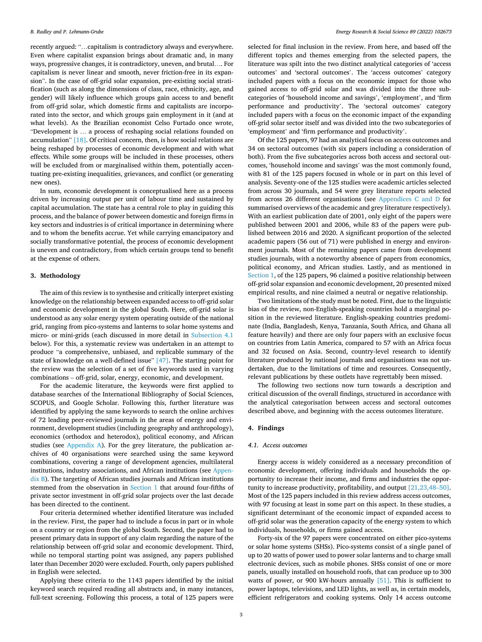<span id="page-2-0"></span>recently argued: "…capitalism is contradictory always and everywhere. Even where capitalist expansion brings about dramatic and, in many ways, progressive changes, it is contradictory, uneven, and brutal…. For capitalism is never linear and smooth, never friction-free in its expansion". In the case of off-grid solar expansion, pre-existing social stratification (such as along the dimensions of class, race, ethnicity, age, and gender) will likely influence which groups gain access to and benefit from off-grid solar, which domestic firms and capitalists are incorporated into the sector, and which groups gain employment in it (and at what levels). As the Brazilian economist Celso Furtado once wrote, "Development is … a process of reshaping social relations founded on accumulation" [\[18\]](#page-12-0). Of critical concern, then, is how social relations are being reshaped by processes of economic development and with what effects. While some groups will be included in these processes, others will be excluded from or marginalised within them, potentially accentuating pre-existing inequalities, grievances, and conflict (or generating new ones).

In sum, economic development is conceptualised here as a process driven by increasing output per unit of labour time and sustained by capital accumulation. The state has a central role to play in guiding this process, and the balance of power between domestic and foreign firms in key sectors and industries is of critical importance in determining where and to whom the benefits accrue. Yet while carrying emancipatory and socially transformative potential, the process of economic development is uneven and contradictory, from which certain groups tend to benefit at the expense of others.

#### **3. Methodology**

The aim of this review is to synthesise and critically interpret existing knowledge on the relationship between expanded access to off-grid solar and economic development in the global South. Here, off-grid solar is understood as any solar energy system operating outside of the national grid, ranging from pico-systems and lanterns to solar home systems and micro- or mini-grids (each discussed in more detail in Subsection 4.1 below). For this, a systematic review was undertaken in an attempt to produce "a comprehensive, unbiased, and replicable summary of the state of knowledge on a well-defined issue" [\[47\].](#page-13-0) The starting point for the review was the selection of a set of five keywords used in varying combinations – off-grid, solar, energy, economic, and development.

For the academic literature, the keywords were first applied to database searches of the International Bibliography of Social Sciences, SCOPUS, and Google Scholar. Following this, further literature was identified by applying the same keywords to search the online archives of 72 leading peer-reviewed journals in the areas of energy and environment, development studies (including geography and anthropology), economics (orthodox and heterodox), political economy, and African studies (see [Appendix A](#page-9-0)). For the grey literature, the publication archives of 40 organisations were searched using the same keyword combinations, covering a range of development agencies, multilateral institutions, industry associations, and African institutions (see [Appen](#page-9-0)[dix B\)](#page-9-0). The targeting of African studies journals and African institutions stemmed from the observation in [Section 1](#page-0-0) that around four-fifths of private sector investment in off-grid solar projects over the last decade has been directed to the continent.

Four criteria determined whether identified literature was included in the review. First, the paper had to include a focus in part or in whole on a country or region from the global South. Second, the paper had to present primary data in support of any claim regarding the nature of the relationship between off-grid solar and economic development. Third, while no temporal starting point was assigned, any papers published later than December 2020 were excluded. Fourth, only papers published in English were selected.

Applying these criteria to the 1143 papers identified by the initial keyword search required reading all abstracts and, in many instances, full-text screening. Following this process, a total of 125 papers were selected for final inclusion in the review. From here, and based off the different topics and themes emerging from the selected papers, the literature was spilt into the two distinct analytical categories of 'access outcomes' and 'sectoral outcomes'. The 'access outcomes' category included papers with a focus on the economic impact for those who gained access to off-grid solar and was divided into the three subcategories of 'household income and savings', 'employment', and 'firm performance and productivity'. The 'sectoral outcomes' category included papers with a focus on the economic impact of the expanding off-grid solar sector itself and was divided into the two subcategories of 'employment' and 'firm performance and productivity'.

Of the 125 papers, 97 had an analytical focus on access outcomes and 34 on sectoral outcomes (with six papers including a consideration of both). From the five subcategories across both access and sectoral outcomes, 'household income and savings' was the most commonly found, with 81 of the 125 papers focused in whole or in part on this level of analysis. Seventy-one of the 125 studies were academic articles selected from across 30 journals, and 54 were grey literature reports selected from across 26 different organisations (see [Appendices C and D](#page-10-0) for summarised overviews of the academic and grey literature respectively). With an earliest publication date of 2001, only eight of the papers were published between 2001 and 2006, while 83 of the papers were published between 2016 and 2020. A significant proportion of the selected academic papers (56 out of 71) were published in energy and environment journals. Most of the remaining papers came from development studies journals, with a noteworthy absence of papers from economics, political economy, and African studies. Lastly, and as mentioned in [Section 1,](#page-0-0) of the 125 papers, 96 claimed a positive relationship between off-grid solar expansion and economic development, 20 presented mixed empirical results, and nine claimed a neutral or negative relationship.

Two limitations of the study must be noted. First, due to the linguistic bias of the review, non-English-speaking countries hold a marginal position in the reviewed literature. English-speaking countries predominate (India, Bangladesh, Kenya, Tanzania, South Africa, and Ghana all feature heavily) and there are only four papers with an exclusive focus on countries from Latin America, compared to 57 with an Africa focus and 32 focused on Asia. Second, country-level research to identify literature produced by national journals and organisations was not undertaken, due to the limitations of time and resources. Consequently, relevant publications by these outlets have regrettably been missed.

The following two sections now turn towards a description and critical discussion of the overall findings, structured in accordance with the analytical categorisation between access and sectoral outcomes described above, and beginning with the access outcomes literature.

## **4. Findings**

### *4.1. Access outcomes*

Energy access is widely considered as a necessary precondition of economic development, offering individuals and households the opportunity to increase their income, and firms and industries the opportunity to increase productivity, profitability, and output [\[21,23,48](#page-12-0)–50]. Most of the 125 papers included in this review address access outcomes, with 97 focusing at least in some part on this aspect. In these studies, a significant determinant of the economic impact of expanded access to off-grid solar was the generation capacity of the energy system to which individuals, households, or firms gained access.

Forty-six of the 97 papers were concentrated on either pico-systems or solar home systems (SHSs). Pico-systems consist of a single panel of up to 20 watts of power used to power solar lanterns and to charge small electronic devices, such as mobile phones. SHSs consist of one or more panels, usually installed on household roofs, that can produce up to 300 watts of power, or 900 kW-hours annually [\[51\].](#page-13-0) This is sufficient to power laptops, televisions, and LED lights, as well as, in certain models, efficient refrigerators and cooking systems. Only 14 access outcome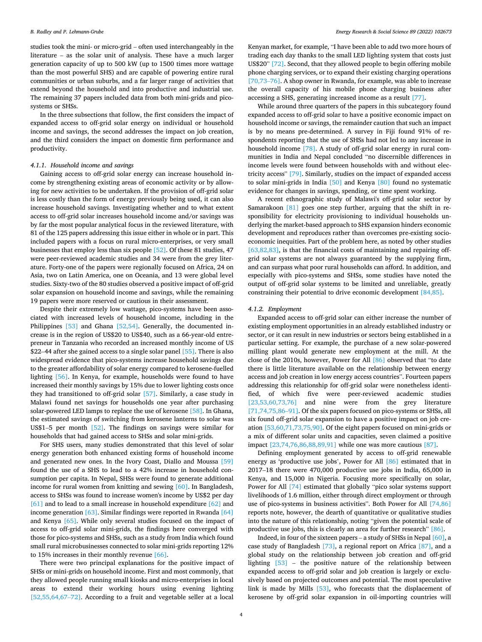<span id="page-3-0"></span>studies took the mini- or micro-grid – often used interchangeably in the literature – as the solar unit of analysis. These have a much larger generation capacity of up to 500 kW (up to 1500 times more wattage than the most powerful SHS) and are capable of powering entire rural communities or urban suburbs, and a far larger range of activities that extend beyond the household and into productive and industrial use. The remaining 37 papers included data from both mini-grids and picosystems or SHSs.

In the three subsections that follow, the first considers the impact of expanded access to off-grid solar energy on individual or household income and savings, the second addresses the impact on job creation, and the third considers the impact on domestic firm performance and productivity.

#### *4.1.1. Household income and savings*

Gaining access to off-grid solar energy can increase household income by strengthening existing areas of economic activity or by allowing for new activities to be undertaken. If the provision of off-grid solar is less costly than the form of energy previously being used, it can also increase household savings. Investigating whether and to what extent access to off-grid solar increases household income and/or savings was by far the most popular analytical focus in the reviewed literature, with 81 of the 125 papers addressing this issue either in whole or in part. This included papers with a focus on rural micro-enterprises, or very small businesses that employ less than six people [\[52\]](#page-13-0). Of these 81 studies, 47 were peer-reviewed academic studies and 34 were from the grey literature. Forty-one of the papers were regionally focused on Africa, 24 on Asia, two on Latin America, one on Oceania, and 13 were global level studies. Sixty-two of the 80 studies observed a positive impact of off-grid solar expansion on household income and savings, while the remaining 19 papers were more reserved or cautious in their assessment.

Despite their extremely low wattage, pico-systems have been associated with increased levels of household income, including in the Philippines [\[53\]](#page-13-0) and Ghana [\[52,54\].](#page-13-0) Generally, the documented increase is in the region of US\$20 to US\$40, such as a 66-year-old entrepreneur in Tanzania who recorded an increased monthly income of US \$22–44 after she gained access to a single solar panel [\[55\].](#page-13-0) There is also widespread evidence that pico-systems increase household savings due to the greater affordability of solar energy compared to kerosene-fuelled lighting [\[56\].](#page-13-0) In Kenya, for example, households were found to have increased their monthly savings by 15% due to lower lighting costs once they had transitioned to off-grid solar [\[57\]](#page-13-0). Similarly, a case study in Malawi found net savings for households one year after purchasing solar-powered LED lamps to replace the use of kerosene [\[58\]](#page-13-0). In Ghana, the estimated savings of switching from kerosene lanterns to solar was US\$1–5 per month [\[52\]](#page-13-0). The findings on savings were similar for households that had gained access to SHSs and solar mini-grids.

For SHS users, many studies demonstrated that this level of solar energy generation both enhanced existing forms of household income and generated new ones. In the Ivory Coast, Diallo and Moussa [\[59\]](#page-13-0)  found the use of a SHS to lead to a 42% increase in household consumption per capita. In Nepal, SHSs were found to generate additional income for rural women from knitting and sewing [\[60\]](#page-13-0). In Bangladesh, access to SHSs was found to increase women's income by US\$2 per day [\[61\]](#page-13-0) and to lead to a small increase in household expenditure [\[62\]](#page-13-0) and income generation [\[63\].](#page-13-0) Similar findings were reported in Rwanda [\[64\]](#page-13-0)  and Kenya [\[65\].](#page-13-0) While only several studies focused on the impact of access to off-grid solar mini-grids, the findings here converged with those for pico-systems and SHSs, such as a study from India which found small rural microbusinesses connected to solar mini-grids reporting 12% to 15% increases in their monthly revenue [\[66\]](#page-13-0).

There were two principal explanations for the positive impact of SHSs or mini-grids on household income. First and most commonly, that they allowed people running small kiosks and micro-enterprises in local areas to extend their working hours using evening lighting [\[52,55,64,67](#page-13-0)–72]. According to a fruit and vegetable seller at a local

Kenyan market, for example, "I have been able to add two more hours of trading each day thanks to the small LED lighting system that costs just US\$20" [\[72\]](#page-13-0). Second, that they allowed people to begin offering mobile phone charging services, or to expand their existing charging operations [\[70,73](#page-13-0)–76]. A shop owner in Rwanda, for example, was able to increase the overall capacity of his mobile phone charging business after accessing a SHS, generating increased income as a result [\[77\].](#page-13-0)

While around three quarters of the papers in this subcategory found expanded access to off-grid solar to have a positive economic impact on household income or savings, the remainder caution that such an impact is by no means pre-determined. A survey in Fiji found 91% of respondents reporting that the use of SHSs had not led to any increase in household income [\[78\].](#page-13-0) A study of off-grid solar energy in rural communities in India and Nepal concluded "no discernible differences in income levels were found between households with and without electricity access" [\[79\]](#page-13-0). Similarly, studies on the impact of expanded access to solar mini-grids in India [\[50\]](#page-13-0) and Kenya [\[80\]](#page-13-0) found no systematic evidence for changes in savings, spending, or time spent working.

A recent ethnographic study of Malawi's off-grid solar sector by Samarakoon [\[81\]](#page-13-0) goes one step further, arguing that the shift in responsibility for electricity provisioning to individual households underlying the market-based approach to SHS expansion hinders economic development and reproduces rather than overcomes pre-existing socioeconomic inequities. Part of the problem here, as noted by other studies [\[63,82,83\],](#page-13-0) is that the financial costs of maintaining and repairing offgrid solar systems are not always guaranteed by the supplying firm, and can surpass what poor rural households can afford. In addition, and especially with pico-systems and SHSs, some studies have noted the output of off-grid solar systems to be limited and unreliable, greatly constraining their potential to drive economic development [\[84,85\].](#page-13-0)

#### *4.1.2. Employment*

Expanded access to off-grid solar can either increase the number of existing employment opportunities in an already established industry or sector, or it can result in new industries or sectors being established in a particular setting. For example, the purchase of a new solar-powered milling plant would generate new employment at the mill. At the close of the 2010s, however, Power for All [\[86\]](#page-13-0) observed that "to date there is little literature available on the relationship between energy access and job creation in low energy access countries". Fourteen papers addressing this relationship for off-grid solar were nonetheless identified, of which five were peer-reviewed academic studies [\[23,53,60,73,76\]](#page-12-0) and nine were from the grey literature [\[71,74,75,86](#page-13-0)–91]. Of the six papers focused on pico-systems or SHSs, all six found off-grid solar expansion to have a positive impact on job creation [\[53,60,71,73,75,90\].](#page-13-0) Of the eight papers focused on mini-grids or a mix of different solar units and capacities, seven claimed a positive impact [\[23,74,76,86,88,89,91\]](#page-12-0) while one was more cautious [\[87\]](#page-13-0).

Defining employment generated by access to off-grid renewable energy as 'productive use jobs', Power for All [\[86\]](#page-13-0) estimated that in 2017–18 there were 470,000 productive use jobs in India, 65,000 in Kenya, and 15,000 in Nigeria. Focusing more specifically on solar, Power for All [\[74\]](#page-13-0) estimated that globally "pico solar systems support livelihoods of 1.6 million, either through direct employment or through use of pico-systems in business activities". Both Power for All [\[74,86\]](#page-13-0)  reports note, however, the dearth of quantitative or qualitative studies into the nature of this relationship, noting "given the potential scale of productive use jobs, this is clearly an area for further research" [\[86\]](#page-13-0).

Indeed, in four of the sixteen papers – a study of SHSs in Nepal [\[60\],](#page-13-0) a case study of Bangladesh [\[73\]](#page-13-0), a regional report on Africa [\[87\],](#page-13-0) and a global study on the relationship between job creation and off-grid lighting [\[53\]](#page-13-0) – the positive nature of the relationship between expanded access to off-grid solar and job creation is largely or exclusively based on projected outcomes and potential. The most speculative link is made by Mills [\[53\],](#page-13-0) who forecasts that the displacement of kerosene by off-grid solar expansion in oil-importing countries will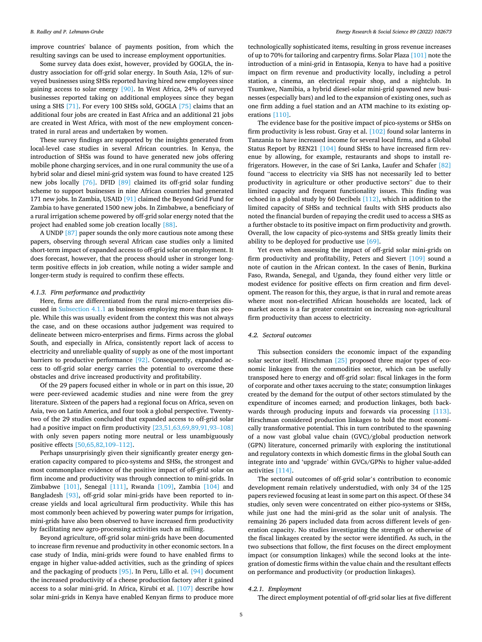<span id="page-4-0"></span>improve countries' balance of payments position, from which the resulting savings can be used to increase employment opportunities.

Some survey data does exist, however, provided by GOGLA, the industry association for off-grid solar energy. In South Asia, 12% of surveyed businesses using SHSs reported having hired new employees since gaining access to solar energy [\[90\]](#page-13-0). In West Africa, 24% of surveyed businesses reported taking on additional employees since they began using a SHS [\[71\]](#page-13-0). For every 100 SHSs sold, GOGLA [\[75\]](#page-13-0) claims that an additional four jobs are created in East Africa and an additional 21 jobs are created in West Africa, with most of the new employment concentrated in rural areas and undertaken by women.

These survey findings are supported by the insights generated from local-level case studies in several African countries. In Kenya, the introduction of SHSs was found to have generated new jobs offering mobile phone charging services, and in one rural community the use of a hybrid solar and diesel mini-grid system was found to have created 125 new jobs locally [\[76\].](#page-13-0) DFID [\[89\]](#page-13-0) claimed its off-grid solar funding scheme to support businesses in nine African countries had generated 171 new jobs. In Zambia, USAID [\[91\]](#page-13-0) claimed the Beyond Grid Fund for Zambia to have generated 1500 new jobs. In Zimbabwe, a beneficiary of a rural irrigation scheme powered by off-grid solar energy noted that the project had enabled some job creation locally [\[88\].](#page-13-0)

A UNDP [\[87\]](#page-13-0) paper sounds the only more cautious note among these papers, observing through several African case studies only a limited short-term impact of expanded access to off-grid solar on employment. It does forecast, however, that the process should usher in stronger longterm positive effects in job creation, while noting a wider sample and longer-term study is required to confirm these effects.

#### *4.1.3. Firm performance and productivity*

Here, firms are differentiated from the rural micro-enterprises discussed in [Subsection 4.1.1](#page-3-0) as businesses employing more than six people. While this was usually evident from the context this was not always the case, and on these occasions author judgement was required to delineate between micro-enterprises and firms. Firms across the global South, and especially in Africa, consistently report lack of access to electricity and unreliable quality of supply as one of the most important barriers to productive performance [\[92\].](#page-13-0) Consequently, expanded access to off-grid solar energy carries the potential to overcome these obstacles and drive increased productivity and profitability.

Of the 29 papers focused either in whole or in part on this issue, 20 were peer-reviewed academic studies and nine were from the grey literature. Sixteen of the papers had a regional focus on Africa, seven on Asia, two on Latin America, and four took a global perspective. Twentytwo of the 29 studies concluded that expanded access to off-grid solar had a positive impact on firm productivity [\[23,51,63,69,89,91,93](#page-12-0)-108] with only seven papers noting more neutral or less unambiguously positive effects [\[50,65,82,109](#page-13-0)–112].

Perhaps unsurprisingly given their significantly greater energy generation capacity compared to pico-systems and SHSs, the strongest and most commonplace evidence of the positive impact of off-grid solar on firm income and productivity was through connection to mini-grids. In Zimbabwe [\[101\],](#page-13-0) Senegal [\[111\]](#page-14-0), Rwanda [\[109\],](#page-14-0) Zambia [\[104\]](#page-14-0) and Bangladesh [\[93\]](#page-13-0), off-grid solar mini-grids have been reported to increase yields and local agricultural firm productivity. While this has most commonly been achieved by powering water pumps for irrigation, mini-grids have also been observed to have increased firm productivity by facilitating new agro-processing activities such as milling.

Beyond agriculture, off-grid solar mini-grids have been documented to increase firm revenue and productivity in other economic sectors. In a case study of India, mini-grids were found to have enabled firms to engage in higher value-added activities, such as the grinding of spices and the packaging of products [\[95\].](#page-13-0) In Peru, Lillo et al. [\[94\]](#page-13-0) document the increased productivity of a cheese production factory after it gained access to a solar mini-grid. In Africa, Kirubi et al. [\[107\]](#page-14-0) describe how solar mini-grids in Kenya have enabled Kenyan firms to produce more

technologically sophisticated items, resulting in gross revenue increases of up to 70% for tailoring and carpentry firms. Solar Plaza [\[101\]](#page-13-0) note the introduction of a mini-grid in Entasopia, Kenya to have had a positive impact on firm revenue and productivity locally, including a petrol station, a cinema, an electrical repair shop, and a nightclub. In Tsumkwe, Namibia, a hybrid diesel-solar mini-grid spawned new businesses (especially bars) and led to the expansion of existing ones, such as one firm adding a fuel station and an ATM machine to its existing operations [\[110\]](#page-14-0).

The evidence base for the positive impact of pico-systems or SHSs on firm productivity is less robust. Gray et al. [\[102\]](#page-13-0) found solar lanterns in Tanzania to have increased income for several local firms, and a Global Status Report by REN21 [\[104\]](#page-14-0) found SHSs to have increased firm revenue by allowing, for example, restaurants and shops to install refrigerators. However, in the case of Sri Lanka, Laufer and Schafer [\[82\]](#page-13-0)  found "access to electricity via SHS has not necessarily led to better productivity in agriculture or other productive sectors" due to their limited capacity and frequent functionality issues. This finding was echoed in a global study by 60 Decibels [\[112\]](#page-14-0), which in addition to the limited capacity of SHSs and technical faults with SHS products also noted the financial burden of repaying the credit used to access a SHS as a further obstacle to its positive impact on firm productivity and growth. Overall, the low capacity of pico-systems and SHSs greatly limits their ability to be deployed for productive use [\[69\].](#page-13-0)

Yet even when assessing the impact of off-grid solar mini-grids on firm productivity and profitability, Peters and Sievert [\[109\]](#page-14-0) sound a note of caution in the African context. In the cases of Benin, Burkina Faso, Rwanda, Senegal, and Uganda, they found either very little or modest evidence for positive effects on firm creation and firm development. The reason for this, they argue, is that in rural and remote areas where most non-electrified African households are located, lack of market access is a far greater constraint on increasing non-agricultural firm productivity than access to electricity.

#### *4.2. Sectoral outcomes*

This subsection considers the economic impact of the expanding solar sector itself. Hirschman [\[25\]](#page-12-0) proposed three major types of economic linkages from the commodities sector, which can be usefully transposed here to energy and off-grid solar: fiscal linkages in the form of corporate and other taxes accruing to the state; consumption linkages created by the demand for the output of other sectors stimulated by the expenditure of incomes earned; and production linkages, both back-wards through producing inputs and forwards via processing [\[113\]](#page-14-0). Hirschman considered production linkages to hold the most economically transformative potential. This in turn contributed to the spawning of a now vast global value chain (GVC)/global production network (GPN) literature, concerned primarily with exploring the institutional and regulatory contexts in which domestic firms in the global South can integrate into and 'upgrade' within GVCs/GPNs to higher value-added activities [\[114\].](#page-14-0)

The sectoral outcomes of off-grid solar's contribution to economic development remain relatively understudied, with only 34 of the 125 papers reviewed focusing at least in some part on this aspect. Of these 34 studies, only seven were concentrated on either pico-systems or SHSs, while just one had the mini-grid as the solar unit of analysis. The remaining 26 papers included data from across different levels of generation capacity. No studies investigating the strength or otherwise of the fiscal linkages created by the sector were identified. As such, in the two subsections that follow, the first focuses on the direct employment impact (or consumption linkages) while the second looks at the integration of domestic firms within the value chain and the resultant effects on performance and productivity (or production linkages).

#### *4.2.1. Employment*

The direct employment potential of off-grid solar lies at five different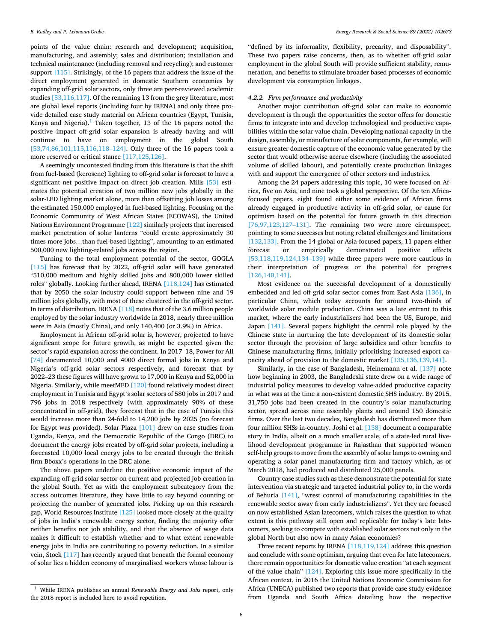points of the value chain: research and development; acquisition, manufacturing, and assembly; sales and distribution; installation and technical maintenance (including removal and recycling); and customer support [\[115\].](#page-14-0) Strikingly, of the 16 papers that address the issue of the direct employment generated in domestic Southern economies by expanding off-grid solar sectors, only three are peer-reviewed academic studies [\[53,116,117\].](#page-13-0) Of the remaining 13 from the grey literature, most are global level reports (including four by IRENA) and only three provide detailed case study material on African countries (Egypt, Tunisia, Kenya and Nigeria). $<sup>1</sup>$  Taken together, 13 of the 16 papers noted the</sup> positive impact off-grid solar expansion is already having and will continue to have on employment in the global South [\[53,74,86,101,115,116,118](#page-13-0)–124]. Only three of the 16 papers took a more reserved or critical stance [\[117,125,126\]](#page-14-0).

A seemingly uncontested finding from this literature is that the shift from fuel-based (kerosene) lighting to off-grid solar is forecast to have a significant net positive impact on direct job creation. Mills [\[53\]](#page-13-0) estimates the potential creation of two million new jobs globally in the solar-LED lighting market alone, more than offsetting job losses among the estimated 150,000 employed in fuel-based lighting. Focusing on the Economic Community of West African States (ECOWAS), the United Nations Environment Programme [\[122\]](#page-14-0) similarly projects that increased market penetration of solar lanterns "could create approximately 30 times more jobs…than fuel-based lighting", amounting to an estimated 500,000 new lighting-related jobs across the region.

Turning to the total employment potential of the sector, GOGLA [\[115\]](#page-14-0) has forecast that by 2022, off-grid solar will have generated "510,000 medium and highly skilled jobs and 800,000 lower skilled roles" globally. Looking further ahead, IRENA [\[118,124\]](#page-14-0) has estimated that by 2050 the solar industry could support between nine and 19 million jobs globally, with most of these clustered in the off-grid sector. In terms of distribution, IRENA [\[118\]](#page-14-0) notes that of the 3.6 million people employed by the solar industry worldwide in 2018, nearly three million were in Asia (mostly China), and only 140,400 (or 3.9%) in Africa.

Employment in African off-grid solar is, however, projected to have significant scope for future growth, as might be expected given the sector's rapid expansion across the continent. In 2017–18, Power for All [\[74\]](#page-13-0) documented 10,000 and 4000 direct formal jobs in Kenya and Nigeria's off-grid solar sectors respectively, and forecast that by 2022–23 these figures will have grown to 17,000 in Kenya and 52,000 in Nigeria. Similarly, while meetMED [\[120\]](#page-14-0) found relatively modest direct employment in Tunisia and Egypt's solar sectors of 580 jobs in 2017 and 796 jobs in 2018 respectively (with approximately 90% of these concentrated in off-grid), they forecast that in the case of Tunisia this would increase more than 24-fold to 14,200 jobs by 2025 (no forecast for Egypt was provided). Solar Plaza [\[101\]](#page-13-0) drew on case studies from Uganda, Kenya, and the Democratic Republic of the Congo (DRC) to document the energy jobs created by off-grid solar projects, including a forecasted 10,000 local energy jobs to be created through the British firm Bboxx's operations in the DRC alone.

The above papers underline the positive economic impact of the expanding off-grid solar sector on current and projected job creation in the global South. Yet as with the employment subcategory from the access outcomes literature, they have little to say beyond counting or projecting the number of generated jobs. Picking up on this research gap, World Resources Institute [\[125\]](#page-14-0) looked more closely at the quality of jobs in India's renewable energy sector, finding the majority offer neither benefits nor job stability, and that the absence of wage data makes it difficult to establish whether and to what extent renewable energy jobs in India are contributing to poverty reduction. In a similar vein, Stock [\[117\]](#page-14-0) has recently argued that beneath the formal economy of solar lies a hidden economy of marginalised workers whose labour is "defined by its informality, flexibility, precarity, and disposability". These two papers raise concerns, then, as to whether off-grid solar employment in the global South will provide sufficient stability, remuneration, and benefits to stimulate broader based processes of economic development via consumption linkages.

## *4.2.2. Firm performance and productivity*

Another major contribution off-grid solar can make to economic development is through the opportunities the sector offers for domestic firms to integrate into and develop technological and productive capabilities within the solar value chain. Developing national capacity in the design, assembly, or manufacture of solar components, for example, will ensure greater domestic capture of the economic value generated by the sector that would otherwise accrue elsewhere (including the associated volume of skilled labour), and potentially create production linkages with and support the emergence of other sectors and industries.

Among the 24 papers addressing this topic, 10 were focused on Africa, five on Asia, and nine took a global perspective. Of the ten Africafocused papers, eight found either some evidence of African firms already engaged in productive activity in off-grid solar, or cause for optimism based on the potential for future growth in this direction [\[76,97,123,127](#page-13-0)–131]. The remaining two were more circumspect, pointing to some successes but noting related challenges and limitations [\[132,133\]](#page-14-0). From the 14 global or Asia-focused papers, 11 papers either forecast or empirically demonstrated positive effects [\[53,118,119,124,134](#page-13-0)–139] while three papers were more cautious in their interpretation of progress or the potential for progress [\[126,140,141\]](#page-14-0).

Most evidence on the successful development of a domestically embedded and led off-grid solar sector comes from East Asia [\[136\],](#page-14-0) in particular China, which today accounts for around two-thirds of worldwide solar module production. China was a late entrant to this market, where the early industrialisers had been the US, Europe, and Japan [\[141\]](#page-14-0). Several papers highlight the central role played by the Chinese state in nurturing the late development of its domestic solar sector through the provision of large subsidies and other benefits to Chinese manufacturing firms, initially prioritising increased export capacity ahead of provision to the domestic market [\[135,136,139,141\]](#page-14-0).

Similarly, in the case of Bangladesh, Heinemann et al. [\[137\]](#page-14-0) note how beginning in 2003, the Bangladeshi state drew on a wide range of industrial policy measures to develop value-added productive capacity in what was at the time a non-existent domestic SHS industry. By 2015, 31,750 jobs had been created in the country's solar manufacturing sector, spread across nine assembly plants and around 150 domestic firms. Over the last two decades, Bangladesh has distributed more than four million SHSs in-country. Joshi et al. [\[138\]](#page-14-0) document a comparable story in India, albeit on a much smaller scale, of a state-led rural livelihood development programme in Rajasthan that supported women self-help groups to move from the assembly of solar lamps to owning and operating a solar panel manufacturing firm and factory which, as of March 2018, had produced and distributed 25,000 panels.

Country case studies such as these demonstrate the potential for state intervention via strategic and targeted industrial policy to, in the words of Behuria [\[141\],](#page-14-0) "wrest control of manufacturing capabilities in the renewable sector away from early industrializers". Yet they are focused on now established Asian latecomers, which raises the question to what extent is this pathway still open and replicable for today's late latecomers, seeking to compete with established solar sectors not only in the global North but also now in many Asian economies?

Three recent reports by IRENA [\[118,119,124\]](#page-14-0) address this question and conclude with some optimism, arguing that even for late latecomers, there remain opportunities for domestic value creation "at each segment of the value chain"  $[124]$ . Exploring this issue more specifically in the African context, in 2016 the United Nations Economic Commission for Africa (UNECA) published two reports that provide case study evidence from Uganda and South Africa detailing how the respective

<sup>1</sup> While IRENA publishes an annual *Renewable Energy and Jobs* report, only the 2018 report is included here to avoid repetition.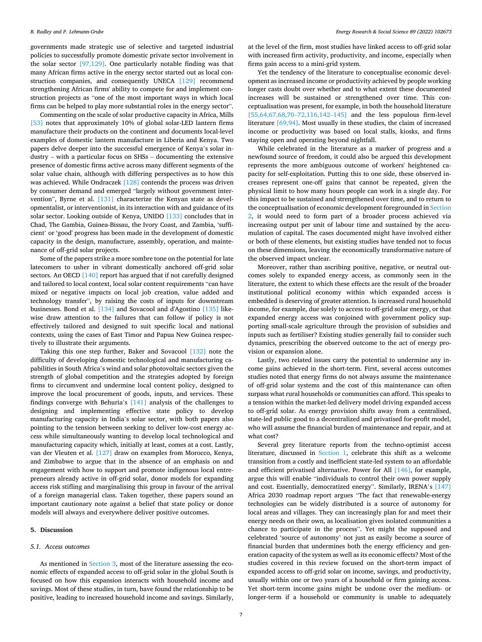<span id="page-6-0"></span>governments made strategic use of selective and targeted industrial policies to successfully promote domestic private sector involvement in the solar sector [\[97,129\]](#page-13-0). One particularly notable finding was that many African firms active in the energy sector started out as local construction companies, and consequently UNECA [\[129\]](#page-14-0) recommend strengthening African firms' ability to compete for and implement construction projects as "one of the most important ways in which local firms can be helped to play more substantial roles in the energy sector".

Commenting on the scale of solar productive capacity in Africa, Mills [\[53\]](#page-13-0) notes that approximately 10% of global solar-LED lantern firms manufacture their products on the continent and documents local-level examples of domestic lantern manufacture in Liberia and Kenya. Two papers delve deeper into the successful emergence of Kenya's solar industry – with a particular focus on SHSs – documenting the extensive presence of domestic firms active across many different segments of the solar value chain, although with differing perspectives as to how this was achieved. While Ondraczek [\[128\]](#page-14-0) contends the process was driven by consumer demand and emerged "largely without government intervention", Byrne et al. [\[131\]](#page-14-0) characterize the Kenyan state as developmentalist, or interventionist, in its interaction with and guidance of its solar sector. Looking outside of Kenya, UNIDO [\[133\]](#page-14-0) concludes that in Chad, The Gambia, Guinea-Bissau, the Ivory Coast, and Zambia, 'sufficient' or 'good' progress has been made in the development of domestic capacity in the design, manufacture, assembly, operation, and maintenance of off-grid solar projects.

Some of the papers strike a more sombre tone on the potential for late latecomers to usher in vibrant domestically anchored off-grid solar sectors. An OECD [\[140\]](#page-14-0) report has argued that if not carefully designed and tailored to local context, local solar content requirements "can have mixed or negative impacts on local job creation, value added and technology transfer", by raising the costs of inputs for downstream businesses. Bond et al. [\[134\]](#page-14-0) and Sovacool and d'Agostino [\[135\]](#page-14-0) likewise draw attention to the failures that can follow if policy is not effectively tailored and designed to suit specific local and national contexts, using the cases of East Timor and Papua New Guinea respectively to illustrate their arguments.

Taking this one step further, Baker and Sovacool [\[132\]](#page-14-0) note the difficulty of developing domestic technological and manufacturing capabilities in South Africa's wind and solar photovoltaic sectors given the strength of global competition and the strategies adopted by foreign firms to circumvent and undermine local content policy, designed to improve the local procurement of goods, inputs, and services. These findings converge with Behuria's [\[141\]](#page-14-0) analysis of the challenges to designing and implementing effective state policy to develop manufacturing capacity in India's solar sector, with both papers also pointing to the tension between seeking to deliver low-cost energy access while simultaneously wanting to develop local technological and manufacturing capacity which, initially at least, comes at a cost. Lastly, van der Vleuten et al. [\[127\]](#page-14-0) draw on examples from Morocco, Kenya, and Zimbabwe to argue that in the absence of an emphasis on and engagement with how to support and promote indigenous local entrepreneurs already active in off-grid solar, donor models for expanding access risk stifling and marginalising this group in favour of the arrival of a foreign managerial class. Taken together, these papers sound an important cautionary note against a belief that state policy or donor models will always and everywhere deliver positive outcomes.

#### **5. Discussion**

#### *5.1. Access outcomes*

As mentioned in [Section 3](#page-2-0), most of the literature assessing the economic effects of expanded access to off-grid solar in the global South is focused on how this expansion interacts with household income and savings. Most of these studies, in turn, have found the relationship to be positive, leading to increased household income and savings. Similarly,

at the level of the firm, most studies have linked access to off-grid solar with increased firm activity, productivity, and income, especially when firms gain access to a mini-grid system.

Yet the tendency of the literature to conceptualise economic development as increased income or productivity achieved by people working longer casts doubt over whether and to what extent these documented increases will be sustained or strengthened over time. This conceptualisation was present, for example, in both the household literature [\[55,64,67,68,70](#page-13-0)-72,116,142-145] and the less populous firm-level literature [\[69,94\].](#page-13-0) Most usually in these studies, the claim of increased income or productivity was based on local stalls, kiosks, and firms staying open and operating beyond nightfall.

While celebrated in the literature as a marker of progress and a newfound source of freedom, it could also be argued this development represents the more ambiguous outcome of workers' heightened capacity for self-exploitation. Putting this to one side, these observed increases represent one-off gains that cannot be repeated, given the physical limit to how many hours people can work in a single day. For this impact to be sustained and strengthened over time, and to return to the conceptualisation of economic development foregrounded in [Section](#page-1-0)  [2](#page-1-0), it would need to form part of a broader process achieved via increasing output per unit of labour time and sustained by the accumulation of capital. The cases documented might have involved either or both of these elements, but existing studies have tended not to focus on these dimensions, leaving the economically transformative nature of the observed impact unclear.

Moreover, rather than ascribing positive, negative, or neutral outcomes solely to expanded energy access, as commonly seen in the literature, the extent to which these effects are the result of the broader institutional political economy within which expanded access is embedded is deserving of greater attention. Is increased rural household income, for example, due solely to access to off-grid solar energy, or that expanded energy access was conjoined with government policy supporting small-scale agriculture through the provision of subsidies and inputs such as fertiliser? Existing studies generally fail to consider such dynamics, prescribing the observed outcome to the act of energy provision or expansion alone.

Lastly, two related issues carry the potential to undermine any income gains achieved in the short-term. First, several access outcomes studies noted that energy firms do not always assume the maintenance of off-grid solar systems and the cost of this maintenance can often surpass what rural households or communities can afford. This speaks to a tension within the market-led delivery model driving expanded access to off-grid solar. As energy provision shifts away from a centralised, state-led public good to a decentralized and privatised for-profit model, who will assume the financial burden of maintenance and repair, and at what cost?

Several grey literature reports from the techno-optimist access literature, discussed in [Section 1](#page-0-0), celebrate this shift as a welcome transition from a costly and inefficient state-led system to an affordable and efficient privatised alternative. Power for All [\[146\],](#page-14-0) for example, argue this will enable "individuals to control their own power supply and cost. Essentially, democratized energy". Similarly, IRENA's [\[147\]](#page-14-0)  Africa 2030 roadmap report argues "The fact that renewable-energy technologies can be widely distributed is a source of autonomy for local areas and villages. They can increasingly plan for and meet their energy needs on their own, as localisation gives isolated communities a chance to participate in the process". Yet might the supposed and celebrated 'source of autonomy' not just as easily become a source of financial burden that undermines both the energy efficiency and generation capacity of the system as well as its economic effects? Most of the studies covered in this review focused on the short-term impact of expanded access to off-grid solar on income, savings, and productivity, usually within one or two years of a household or firm gaining access. Yet short-term income gains might be undone over the medium- or longer-term if a household or community is unable to adequately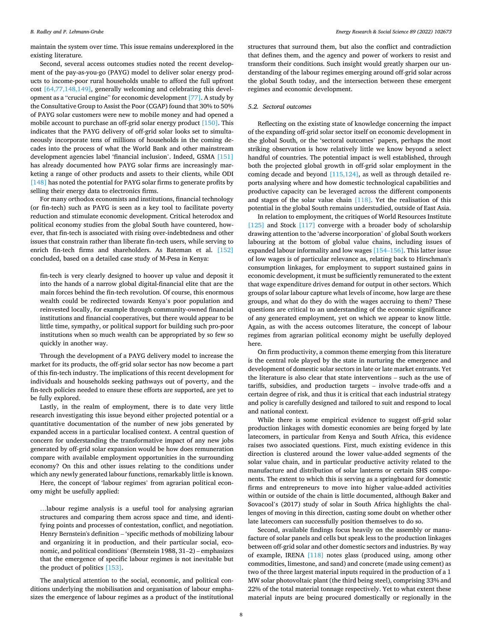maintain the system over time. This issue remains underexplored in the existing literature.

Second, several access outcomes studies noted the recent development of the pay-as-you-go (PAYG) model to deliver solar energy products to income-poor rural households unable to afford the full upfront cost [\[64,77,148,149\],](#page-13-0) generally welcoming and celebrating this development as a "crucial engine" for economic development [\[77\]](#page-13-0). A study by the Consultative Group to Assist the Poor (CGAP) found that 30% to 50% of PAYG solar customers were new to mobile money and had opened a mobile account to purchase an off-grid solar energy product [\[150\]](#page-14-0). This indicates that the PAYG delivery of off-grid solar looks set to simultaneously incorporate tens of millions of households in the coming decades into the process of what the World Bank and other mainstream development agencies label 'financial inclusion'. Indeed, GSMA [\[151\]](#page-14-0)  has already documented how PAYG solar firms are increasingly marketing a range of other products and assets to their clients, while ODI [\[148\]](#page-14-0) has noted the potential for PAYG solar firms to generate profits by selling their energy data to electronics firms.

For many orthodox economists and institutions, financial technology (or fin-tech) such as PAYG is seen as a key tool to facilitate poverty reduction and stimulate economic development. Critical heterodox and political economy studies from the global South have countered, however, that fin-tech is associated with rising over-indebtedness and other issues that constrain rather than liberate fin-tech users, while serving to enrich fin-tech firms and shareholders. As Bateman et al. [\[152\]](#page-14-0)  concluded, based on a detailed case study of M-Pesa in Kenya:

fin-tech is very clearly designed to hoover up value and deposit it into the hands of a narrow global digital-financial elite that are the main forces behind the fin-tech revolution. Of course, this enormous wealth could be redirected towards Kenya's poor population and reinvested locally, for example through community-owned financial institutions and financial cooperatives, but there would appear to be little time, sympathy, or political support for building such pro-poor institutions when so much wealth can be appropriated by so few so quickly in another way.

Through the development of a PAYG delivery model to increase the market for its products, the off-grid solar sector has now become a part of this fin-tech industry. The implications of this recent development for individuals and households seeking pathways out of poverty, and the fin-tech policies needed to ensure these efforts are supported, are yet to be fully explored.

Lastly, in the realm of employment, there is to date very little research investigating this issue beyond either projected potential or a quantitative documentation of the number of new jobs generated by expanded access in a particular localised context. A central question of concern for understanding the transformative impact of any new jobs generated by off-grid solar expansion would be how does remuneration compare with available employment opportunities in the surrounding economy? On this and other issues relating to the conditions under which any newly generated labour functions, remarkably little is known.

Here, the concept of 'labour regimes' from agrarian political economy might be usefully applied:

…labour regime analysis is a useful tool for analysing agrarian structures and comparing them across space and time, and identifying points and processes of contestation, conflict, and negotiation. Henry Bernstein's definition – 'specific methods of mobilizing labour and organizing it in production, and their particular social, economic, and political conditions' (Bernstein 1988, 31–2) – emphasizes that the emergence of specific labour regimes is not inevitable but the product of politics [\[153\]](#page-14-0).

The analytical attention to the social, economic, and political conditions underlying the mobilisation and organisation of labour emphasizes the emergence of labour regimes as a product of the institutional structures that surround them, but also the conflict and contradiction that defines them, and the agency and power of workers to resist and transform their conditions. Such insight would greatly sharpen our understanding of the labour regimes emerging around off-grid solar across the global South today, and the intersection between these emergent regimes and economic development.

#### *5.2. Sectoral outcomes*

Reflecting on the existing state of knowledge concerning the impact of the expanding off-grid solar sector itself on economic development in the global South, or the 'sectoral outcomes' papers, perhaps the most striking observation is how relatively little we know beyond a select handful of countries. The potential impact is well established, through both the projected global growth in off-grid solar employment in the coming decade and beyond [\[115,124\]](#page-14-0), as well as through detailed reports analysing where and how domestic technological capabilities and productive capacity can be leveraged across the different components and stages of the solar value chain [\[118\].](#page-14-0) Yet the realisation of this potential in the global South remains understudied, outside of East Asia.

In relation to employment, the critiques of World Resources Institute [\[125\]](#page-14-0) and Stock [\[117\]](#page-14-0) converge with a broader body of scholarship drawing attention to the 'adverse incorporation' of global South workers labouring at the bottom of global value chains, including issues of expanded labour informality and low wages [\[154](#page-14-0)–156]. This latter issue of low wages is of particular relevance as, relating back to Hirschman's consumption linkages, for employment to support sustained gains in economic development, it must be sufficiently remunerated to the extent that wage expenditure drives demand for output in other sectors. Which groups of solar labour capture what levels of income, how large are these groups, and what do they do with the wages accruing to them? These questions are critical to an understanding of the economic significance of any generated employment, yet on which we appear to know little. Again, as with the access outcomes literature, the concept of labour regimes from agrarian political economy might be usefully deployed here.

On firm productivity, a common theme emerging from this literature is the central role played by the state in nurturing the emergence and development of domestic solar sectors in late or late market entrants. Yet the literature is also clear that state interventions – such as the use of tariffs, subsidies, and production targets – involve trade-offs and a certain degree of risk, and thus it is critical that each industrial strategy and policy is carefully designed and tailored to suit and respond to local and national context.

While there is some empirical evidence to suggest off-grid solar production linkages with domestic economies are being forged by late latecomers, in particular from Kenya and South Africa, this evidence raises two associated questions. First, much existing evidence in this direction is clustered around the lower value-added segments of the solar value chain, and in particular productive activity related to the manufacture and distribution of solar lanterns or certain SHS components. The extent to which this is serving as a springboard for domestic firms and entrepreneurs to move into higher value-added activities within or outside of the chain is little documented, although Baker and Sovacool's (2017) study of solar in South Africa highlights the challenges of moving in this direction, casting some doubt on whether other late latecomers can successfully position themselves to do so.

Second, available findings focus heavily on the assembly or manufacture of solar panels and cells but speak less to the production linkages between off-grid solar and other domestic sectors and industries. By way of example, IRENA [\[118\]](#page-14-0) notes glass (produced using, among other commodities, limestone, and sand) and concrete (made using cement) as two of the three largest material inputs required in the production of a 1 MW solar photovoltaic plant (the third being steel), comprising 33% and 22% of the total material tonnage respectively. Yet to what extent these material inputs are being procured domestically or regionally in the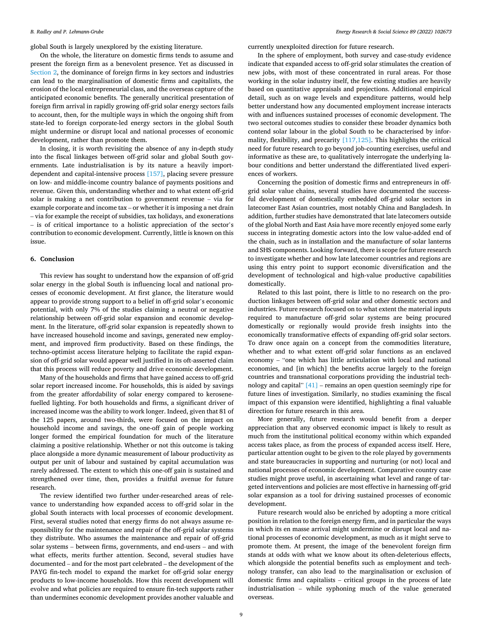<span id="page-8-0"></span>global South is largely unexplored by the existing literature.

On the whole, the literature on domestic firms tends to assume and present the foreign firm as a benevolent presence. Yet as discussed in [Section 2](#page-1-0), the dominance of foreign firms in key sectors and industries can lead to the marginalisation of domestic firms and capitalists, the erosion of the local entrepreneurial class, and the overseas capture of the anticipated economic benefits. The generally uncritical presentation of foreign firm arrival in rapidly growing off-grid solar energy sectors fails to account, then, for the multiple ways in which the ongoing shift from state-led to foreign corporate-led energy sectors in the global South might undermine or disrupt local and national processes of economic development, rather than promote them.

In closing, it is worth revisiting the absence of any in-depth study into the fiscal linkages between off-grid solar and global South governments. Late industrialisation is by its nature a heavily importdependent and capital-intensive process [\[157\],](#page-14-0) placing severe pressure on low- and middle-income country balance of payments positions and revenue. Given this, understanding whether and to what extent off-grid solar is making a net contribution to government revenue – via for example corporate and income tax – or whether it is imposing a net drain – via for example the receipt of subsidies, tax holidays, and exonerations – is of critical importance to a holistic appreciation of the sector's contribution to economic development. Currently, little is known on this issue.

## **6. Conclusion**

This review has sought to understand how the expansion of off-grid solar energy in the global South is influencing local and national processes of economic development. At first glance, the literature would appear to provide strong support to a belief in off-grid solar's economic potential, with only 7% of the studies claiming a neutral or negative relationship between off-grid solar expansion and economic development. In the literature, off-grid solar expansion is repeatedly shown to have increased household income and savings, generated new employment, and improved firm productivity. Based on these findings, the techno-optimist access literature helping to facilitate the rapid expansion of off-grid solar would appear well justified in its oft-asserted claim that this process will reduce poverty and drive economic development.

Many of the households and firms that have gained access to off-grid solar report increased income. For households, this is aided by savings from the greater affordability of solar energy compared to kerosenefuelled lighting. For both households and firms, a significant driver of increased income was the ability to work longer. Indeed, given that 81 of the 125 papers, around two-thirds, were focused on the impact on household income and savings, the one-off gain of people working longer formed the empirical foundation for much of the literature claiming a positive relationship. Whether or not this outcome is taking place alongside a more dynamic measurement of labour productivity as output per unit of labour and sustained by capital accumulation was rarely addressed. The extent to which this one-off gain is sustained and strengthened over time, then, provides a fruitful avenue for future research.

The review identified two further under-researched areas of relevance to understanding how expanded access to off-grid solar in the global South interacts with local processes of economic development. First, several studies noted that energy firms do not always assume responsibility for the maintenance and repair of the off-grid solar systems they distribute. Who assumes the maintenance and repair of off-grid solar systems – between firms, governments, and end-users – and with what effects, merits further attention. Second, several studies have documented – and for the most part celebrated – the development of the PAYG fin-tech model to expand the market for off-grid solar energy products to low-income households. How this recent development will evolve and what policies are required to ensure fin-tech supports rather than undermines economic development provides another valuable and

currently unexploited direction for future research.

In the sphere of employment, both survey and case-study evidence indicate that expanded access to off-grid solar stimulates the creation of new jobs, with most of these concentrated in rural areas. For those working in the solar industry itself, the few existing studies are heavily based on quantitative appraisals and projections. Additional empirical detail, such as on wage levels and expenditure patterns, would help better understand how any documented employment increase interacts with and influences sustained processes of economic development. The two sectoral outcomes studies to consider these broader dynamics both contend solar labour in the global South to be characterised by informality, flexibility, and precarity [\[117,125\].](#page-14-0) This highlights the critical need for future research to go beyond job-counting exercises, useful and informative as these are, to qualitatively interrogate the underlying labour conditions and better understand the differentiated lived experiences of workers.

Concerning the position of domestic firms and entrepreneurs in offgrid solar value chains, several studies have documented the successful development of domestically embedded off-grid solar sectors in latecomer East Asian countries, most notably China and Bangladesh. In addition, further studies have demonstrated that late latecomers outside of the global North and East Asia have more recently enjoyed some early success in integrating domestic actors into the low value-added end of the chain, such as in installation and the manufacture of solar lanterns and SHS components. Looking forward, there is scope for future research to investigate whether and how late latecomer countries and regions are using this entry point to support economic diversification and the development of technological and high-value productive capabilities domestically.

Related to this last point, there is little to no research on the production linkages between off-grid solar and other domestic sectors and industries. Future research focused on to what extent the material inputs required to manufacture off-grid solar systems are being procured domestically or regionally would provide fresh insights into the economically transformative effects of expanding off-grid solar sectors. To draw once again on a concept from the commodities literature, whether and to what extent off-grid solar functions as an enclaved economy – "one which has little articulation with local and national economies, and [in which] the benefits accrue largely to the foreign countries and transnational corporations providing the industrial technology and capital" [\[41\]](#page-13-0) – remains an open question seemingly ripe for future lines of investigation. Similarly, no studies examining the fiscal impact of this expansion were identified, highlighting a final valuable direction for future research in this area.

More generally, future research would benefit from a deeper appreciation that any observed economic impact is likely to result as much from the institutional political economy within which expanded access takes place, as from the process of expanded access itself. Here, particular attention ought to be given to the role played by governments and state bureaucracies in supporting and nurturing (or not) local and national processes of economic development. Comparative country case studies might prove useful, in ascertaining what level and range of targeted interventions and policies are most effective in harnessing off-grid solar expansion as a tool for driving sustained processes of economic development.

Future research would also be enriched by adopting a more critical position in relation to the foreign energy firm, and in particular the ways in which its en masse arrival might undermine or disrupt local and national processes of economic development, as much as it might serve to promote them. At present, the image of the benevolent foreign firm stands at odds with what we know about its often-deleterious effects, which alongside the potential benefits such as employment and technology transfer, can also lead to the marginalisation or exclusion of domestic firms and capitalists – critical groups in the process of late industrialisation – while syphoning much of the value generated overseas.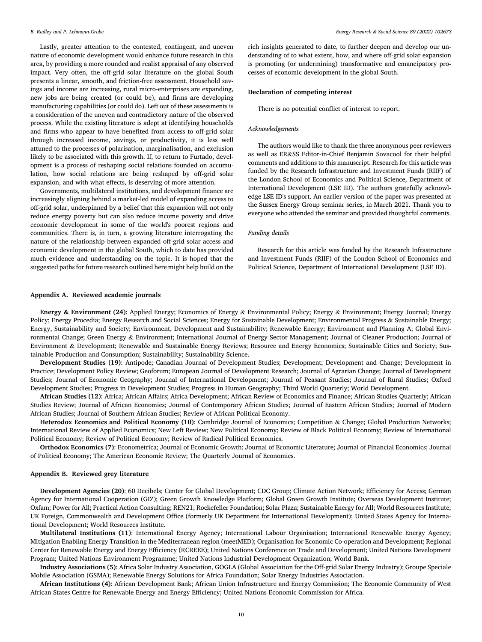<span id="page-9-0"></span>Lastly, greater attention to the contested, contingent, and uneven nature of economic development would enhance future research in this area, by providing a more rounded and realist appraisal of any observed impact. Very often, the off-grid solar literature on the global South presents a linear, smooth, and friction-free assessment. Household savings and income are increasing, rural micro-enterprises are expanding, new jobs are being created (or could be), and firms are developing manufacturing capabilities (or could do). Left out of these assessments is a consideration of the uneven and contradictory nature of the observed process. While the existing literature is adept at identifying households and firms who appear to have benefited from access to off-grid solar through increased income, savings, or productivity, it is less well attuned to the processes of polarisation, marginalisation, and exclusion likely to be associated with this growth. If, to return to Furtado, development is a process of reshaping social relations founded on accumulation, how social relations are being reshaped by off-grid solar expansion, and with what effects, is deserving of more attention.

Governments, multilateral institutions, and development finance are increasingly aligning behind a market-led model of expanding access to off-grid solar, underpinned by a belief that this expansion will not only reduce energy poverty but can also reduce income poverty and drive economic development in some of the world's poorest regions and communities. There is, in turn, a growing literature interrogating the nature of the relationship between expanded off-grid solar access and economic development in the global South, which to date has provided much evidence and understanding on the topic. It is hoped that the suggested paths for future research outlined here might help build on the rich insights generated to date, to further deepen and develop our understanding of to what extent, how, and where off-grid solar expansion is promoting (or undermining) transformative and emancipatory processes of economic development in the global South.

#### **Declaration of competing interest**

There is no potential conflict of interest to report.

#### *Acknowledgements*

The authors would like to thank the three anonymous peer reviewers as well as ER&SS Editor-in-Chief Benjamin Sovacool for their helpful comments and additions to this manuscript. Research for this article was funded by the Research Infrastructure and Investment Funds (RIIF) of the London School of Economics and Political Science, Department of International Development (LSE ID). The authors gratefully acknowledge LSE ID's support. An earlier version of the paper was presented at the Sussex Energy Group seminar series, in March 2021. Thank you to everyone who attended the seminar and provided thoughtful comments.

## *Funding details*

Research for this article was funded by the Research Infrastructure and Investment Funds (RIIF) of the London School of Economics and Political Science, Department of International Development (LSE ID).

#### **Appendix A. Reviewed academic journals**

**Energy & Environment (24)**: Applied Energy; Economics of Energy & Environmental Policy; Energy & Environment; Energy Journal; Energy Policy; Energy Procedia; Energy Research and Social Sciences; Energy for Sustainable Development; Environmental Progress & Sustainable Energy; Energy, Sustainability and Society; Environment, Development and Sustainability; Renewable Energy; Environment and Planning A; Global Environmental Change; Green Energy & Environment; International Journal of Energy Sector Management; Journal of Cleaner Production; Journal of Environment & Development; Renewable and Sustainable Energy Reviews; Resource and Energy Economics; Sustainable Cities and Society; Sustainable Production and Consumption; Sustainability; Sustainability Science.

**Development Studies (19)**: Antipode; Canadian Journal of Development Studies; Development; Development and Change; Development in Practice; Development Policy Review; Geoforum; European Journal of Development Research; Journal of Agrarian Change; Journal of Development Studies; Journal of Economic Geography; Journal of International Development; Journal of Peasant Studies; Journal of Rural Studies; Oxford Development Studies; Progress in Development Studies; Progress in Human Geography; Third World Quarterly; World Development.

**African Studies (12)**: Africa; African Affairs; Africa Development; African Review of Economics and Finance; African Studies Quarterly; African Studies Review; Journal of African Economies; Journal of Contemporary African Studies; Journal of Eastern African Studies; Journal of Modern African Studies; Journal of Southern African Studies; Review of African Political Economy.

**Heterodox Economics and Political Economy (10)**: Cambridge Journal of Economics; Competition & Change; Global Production Networks; International Review of Applied Economics; New Left Review; New Political Economy; Review of Black Political Economy; Review of International Political Economy; Review of Political Economy; Review of Radical Political Economics.

**Orthodox Economics (7)**: Econometrica; Journal of Economic Growth; Journal of Economic Literature; Journal of Financial Economics; Journal of Political Economy; The American Economic Review; The Quarterly Journal of Economics.

#### **Appendix B. Reviewed grey literature**

**Development Agencies (20)**: 60 Decibels; Center for Global Development; CDC Group; Climate Action Network; Efficiency for Access; German Agency for International Cooperation (GIZ); Green Growth Knowledge Platform; Global Green Growth Institute; Overseas Development Institute; Oxfam; Power for All; Practical Action Consulting; REN21; Rockefeller Foundation; Solar Plaza; Sustainable Energy for All; World Resources Institute; UK Foreign, Commonwealth and Development Office (formerly UK Department for International Development); United States Agency for International Development; World Resources Institute.

**Multilateral Institutions (11)**: International Energy Agency; International Labour Organisation; International Renewable Energy Agency; Mitigation Enabling Energy Transition in the Mediterranean region (meetMED); Organisation for Economic Co-operation and Development; Regional Center for Renewable Energy and Energy Efficiency (RCREEE); United Nations Conference on Trade and Development; United Nations Development Program; United Nations Environment Programme; United Nations Industrial Development Organization; World Bank.

**Industry Associations (5)**: Africa Solar Industry Association, GOGLA (Global Association for the Off-grid Solar Energy Industry); Groupe Speciale Mobile Association (GSMA); Renewable Energy Solutions for Africa Foundation; Solar Energy Industries Association.

**African Institutions (4)**: African Development Bank; African Union Infrastructure and Energy Commission; The Economic Community of West African States Centre for Renewable Energy and Energy Efficiency; United Nations Economic Commission for Africa.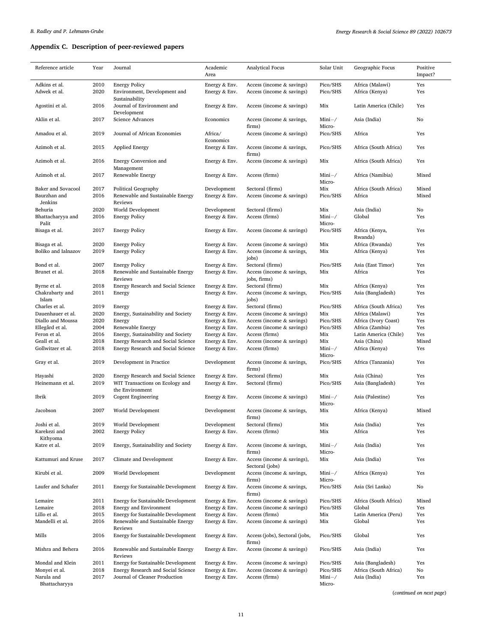## <span id="page-10-0"></span>**Appendix C. Description of peer-reviewed papers**

| Reference article   | Year | Journal                            | Academic<br>Area | <b>Analytical Focus</b>        | Solar Unit | Geographic Focus      | Positive<br>Impact? |
|---------------------|------|------------------------------------|------------------|--------------------------------|------------|-----------------------|---------------------|
| Adkins et al.       | 2010 | <b>Energy Policy</b>               | Energy & Env.    | Access (income $&$ savings)    | Pico/SHS   | Africa (Malawi)       | Yes                 |
| Adwek et al.        | 2020 | Environment, Development and       | Energy & Env.    | Access (income & savings)      | Pico/SHS   | Africa (Kenya)        | Yes                 |
|                     |      | Sustainability                     |                  |                                |            |                       |                     |
|                     | 2016 | Journal of Environment and         |                  |                                | Mix        |                       | Yes                 |
| Agostini et al.     |      |                                    | Energy & Env.    | Access (income & savings)      |            | Latin America (Chile) |                     |
|                     |      | Development                        |                  |                                |            |                       |                     |
| Aklin et al.        | 2017 | Science Advances                   | Economics        | Access (income & savings,      | $Mini-$    | Asia (India)          | No                  |
|                     |      |                                    |                  | firms)                         | Micro-     |                       |                     |
| Amadou et al.       | 2019 | Journal of African Economies       | Africa/          | Access (income & savings)      | Pico/SHS   | Africa                | Yes                 |
|                     |      |                                    | Economics        |                                |            |                       |                     |
| Azimoh et al.       | 2015 | <b>Applied Energy</b>              | Energy & Env.    | Access (income & savings,      | Pico/SHS   | Africa (South Africa) | Yes                 |
|                     |      |                                    |                  | firms)                         |            |                       |                     |
| Azimoh et al.       | 2016 | Energy Conversion and              | Energy & Env.    | Access (income & savings)      | Mix        | Africa (South Africa) | Yes                 |
|                     |      | Management                         |                  |                                |            |                       |                     |
| Azimoh et al.       | 2017 | Renewable Energy                   | Energy & Env.    | Access (firms)                 | $Mini-$    | Africa (Namibia)      | Mixed               |
|                     |      |                                    |                  |                                | Micro-     |                       |                     |
| Baker and Sovacool  | 2017 | Political Geography                | Development      | Sectoral (firms)               | Mix        | Africa (South Africa) | Mixed               |
| Baurzhan and        | 2016 | Renewable and Sustainable Energy   | Energy & Env.    | Access (income & savings)      | Pico/SHS   | Africa                | Mixed               |
| Jenkins             |      | Reviews                            |                  |                                |            |                       |                     |
| Behuria             | 2020 | World Development                  | Development      | Sectoral (firms)               | Mix        | Asia (India)          | No                  |
|                     |      |                                    |                  | Access (firms)                 |            | Global                | Yes                 |
| Bhattacharyya and   | 2016 | <b>Energy Policy</b>               | Energy & Env.    |                                | $Mini-$    |                       |                     |
| Palit               |      |                                    |                  |                                | Micro-     |                       |                     |
| Bisaga et al.       | 2017 | <b>Energy Policy</b>               | Energy & Env.    | Access (income & savings)      | Pico/SHS   | Africa (Kenya,        | Yes                 |
|                     |      |                                    |                  |                                |            | Rwanda)               |                     |
| Bisaga et al.       | 2020 | <b>Energy Policy</b>               | Energy & Env.    | Access (income $\&$ savings)   | Mix        | Africa (Rwanda)       | Yes                 |
| Boliko and Ialnazov | 2019 | <b>Energy Policy</b>               | Energy & Env.    | Access (income & savings,      | Mix        | Africa (Kenya)        | Yes                 |
|                     |      |                                    |                  | jobs)                          |            |                       |                     |
| Bond et al.         | 2007 | <b>Energy Policy</b>               | Energy & Env.    | Sectoral (firms)               | Pico/SHS   | Asia (East Timor)     | Yes                 |
| Brunet et al.       | 2018 | Renewable and Sustainable Energy   | Energy & Env.    | Access (income & savings,      | Mix        | Africa                | Yes                 |
|                     |      | Reviews                            |                  | jobs, firms)                   |            |                       |                     |
| Byrne et al.        | 2018 | Energy Research and Social Science | Energy & Env.    | Sectoral (firms)               | Mix        | Africa (Kenya)        | Yes                 |
| Chakrabarty and     | 2011 | Energy                             | Energy & Env.    | Access (income & savings,      | Pico/SHS   | Asia (Bangladesh)     | Yes                 |
| Islam               |      |                                    |                  | jobs)                          |            |                       |                     |
| Charles et al.      | 2019 | Energy                             | Energy & Env.    | Sectoral (firms)               | Pico/SHS   | Africa (South Africa) | Yes                 |
| Dauenhauer et al.   | 2020 | Energy, Sustainability and Society | Energy & Env.    | Access (income $\&$ savings)   | Mix        | Africa (Malawi)       | Yes                 |
| Diallo and Moussa   | 2020 | Energy                             | Energy & Env.    | Access (income & savings)      | Pico/SHS   | Africa (Ivory Coast)  | Yes                 |
| Ellegård et al.     | 2004 | Renewable Energy                   | Energy & Env.    | Access (income & savings)      | Pico/SHS   | Africa (Zambia)       | Yes                 |
|                     |      |                                    |                  |                                |            |                       | Yes                 |
| Feron et al.        | 2016 | Energy, Sustainability and Society | Energy & Env.    | Access (firms)                 | Mix        | Latin America (Chile) |                     |
| Geall et al.        | 2018 | Energy Research and Social Science | Energy & Env.    | Access (income & savings)      | Mix        | Asia (China)          | Mixed               |
| Gollwitzer et al.   | 2018 | Energy Research and Social Science | Energy & Env.    | Access (firms)                 | $Mini-$    | Africa (Kenya)        | Yes                 |
|                     |      |                                    |                  |                                | Micro-     |                       |                     |
| Gray et al.         | 2019 | Development in Practice            | Development      | Access (income & savings,      | Pico/SHS   | Africa (Tanzania)     | Yes                 |
|                     |      |                                    |                  | firms)                         |            |                       |                     |
| Hayashi             | 2020 | Energy Research and Social Science | Energy & Env.    | Sectoral (firms)               | Mix        | Asia (China)          | Yes                 |
| Heinemann et al.    | 2019 | WIT Transactions on Ecology and    | Energy & Env.    | Sectoral (firms)               | Pico/SHS   | Asia (Bangladesh)     | Yes                 |
|                     |      | the Environment                    |                  |                                |            |                       |                     |
| Ibrik               | 2019 | Cogent Engineering                 | Energy & Env.    | Access (income & savings)      | $Mini-$    | Asia (Palestine)      | Yes                 |
|                     |      |                                    |                  |                                | Micro-     |                       |                     |
| Jacobson            | 2007 | World Development                  | Development      | Access (income & savings,      | Mix        | Africa (Kenya)        | Mixed               |
|                     |      |                                    |                  | firms)                         |            |                       |                     |
| Joshi et al.        | 2019 | World Development                  | Development      | Sectoral (firms)               | Mix        | Asia (India)          | Yes                 |
| Karekezi and        | 2002 | <b>Energy Policy</b>               | Energy & Env.    | Access (firms)                 | Mix        | Africa                | Yes                 |
| Kithyoma            |      |                                    |                  |                                |            |                       |                     |
| Katre et al.        | 2019 | Energy, Sustainability and Society | Energy & Env.    | Access (income & savings,      | $Mini-$    | Asia (India)          | Yes                 |
|                     |      |                                    |                  | firms)                         | Micro-     |                       |                     |
| Kattumuri and Kruse | 2017 | Climate and Development            | Energy & Env.    | Access (income & savings),     | Mix        | Asia (India)          | Yes                 |
|                     |      |                                    |                  | Sectoral (jobs)                |            |                       |                     |
| Kirubi et al.       | 2009 | World Development                  | Development      | Access (income & savings,      | $Mini-$    | Africa (Kenya)        | Yes                 |
|                     |      |                                    |                  |                                |            |                       |                     |
|                     |      |                                    |                  | firms)                         | Micro-     |                       |                     |
| Laufer and Schafer  | 2011 | Energy for Sustainable Development | Energy & Env.    | Access (income & savings,      | Pico/SHS   | Asia (Sri Lanka)      | No                  |
|                     |      |                                    |                  | firms)                         |            |                       |                     |
| Lemaire             | 2011 | Energy for Sustainable Development | Energy & Env.    | Access (income $&$ savings)    | Pico/SHS   | Africa (South Africa) | Mixed               |
| Lemaire             | 2018 | Energy and Environment             | Energy & Env.    | Access (income $&$ savings)    | Pico/SHS   | Global                | Yes                 |
| Lillo et al.        | 2015 | Energy for Sustainable Development | Energy & Env.    | Access (firms)                 | Mix        | Latin America (Peru)  | Yes                 |
| Mandelli et al.     | 2016 | Renewable and Sustainable Energy   | Energy & Env.    | Access (income & savings)      | Mix        | Global                | Yes                 |
|                     |      | Reviews                            |                  |                                |            |                       |                     |
| Mills               | 2016 | Energy for Sustainable Development | Energy & Env.    | Access (jobs), Sectoral (jobs, | Pico/SHS   | Global                | Yes                 |
|                     |      |                                    |                  | firms)                         |            |                       |                     |
| Mishra and Behera   | 2016 | Renewable and Sustainable Energy   | Energy & Env.    | Access (income & savings)      | Pico/SHS   | Asia (India)          | Yes                 |
|                     |      | Reviews                            |                  |                                |            |                       |                     |
| Mondal and Klein    | 2011 | Energy for Sustainable Development | Energy & Env.    | Access (income & savings)      | Pico/SHS   | Asia (Bangladesh)     | Yes                 |
| Monyei et al.       | 2018 | Energy Research and Social Science | Energy & Env.    | Access (income $&$ savings)    | Pico/SHS   | Africa (South Africa) | No                  |
| Narula and          | 2017 | Journal of Cleaner Production      | Energy & Env.    | Access (firms)                 | $Mini-$    | Asia (India)          | Yes                 |
| Bhattacharyya       |      |                                    |                  |                                | Micro-     |                       |                     |
|                     |      |                                    |                  |                                |            |                       |                     |

(*continued on next page*)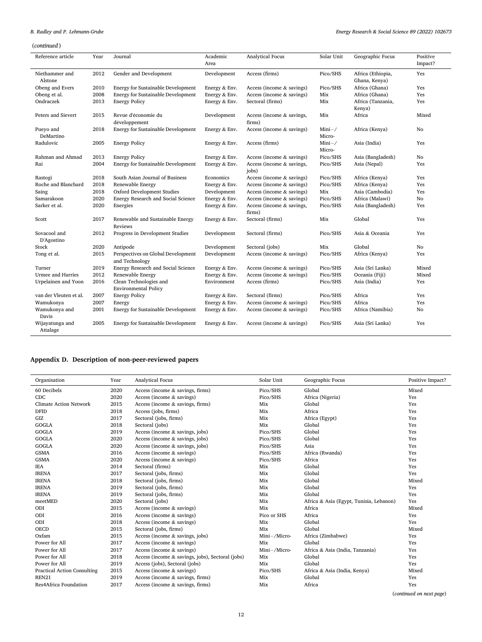# (*continued* )

| Reference article           | Year | Journal                                               | Academic<br>Area | <b>Analytical Focus</b>             | Solar Unit        | Geographic Focus                   | Positive<br>Impact? |
|-----------------------------|------|-------------------------------------------------------|------------------|-------------------------------------|-------------------|------------------------------------|---------------------|
| Niethammer and<br>Alstone   | 2012 | Gender and Development                                | Development      | Access (firms)                      | Pico/SHS          | Africa (Ethiopia,<br>Ghana, Kenya) | Yes                 |
| Obeng and Evers             | 2010 | <b>Energy for Sustainable Development</b>             | Energy & Env.    | Access (income & savings)           | Pico/SHS          | Africa (Ghana)                     | Yes                 |
| Obeng et al.                | 2008 | <b>Energy for Sustainable Development</b>             | Energy & Env.    | Access (income & savings)           | Mix               | Africa (Ghana)                     | Yes                 |
| Ondraczek                   | 2013 | <b>Energy Policy</b>                                  | Energy & Env.    | Sectoral (firms)                    | Mix               | Africa (Tanzania,<br>Kenya)        | Yes                 |
| Peters and Sievert          | 2015 | Revue d'économie du<br>développement                  | Development      | Access (income & savings,<br>firms) | Mix               | Africa                             | Mixed               |
| Pueyo and<br>DeMartino      | 2018 | <b>Energy for Sustainable Development</b>             | Energy & Env.    | Access (income $&$ savings)         | $Mini-$<br>Micro- | Africa (Kenya)                     | No                  |
| Radulovic                   | 2005 | <b>Energy Policy</b>                                  | Energy & Env.    | Access (firms)                      | $Mini-$<br>Micro- | Asia (India)                       | Yes                 |
| Rahman and Ahmad            | 2013 | <b>Energy Policy</b>                                  | Energy & Env.    | Access (income & savings)           | Pico/SHS          | Asia (Bangladesh)                  | No                  |
| Rai                         | 2004 | <b>Energy for Sustainable Development</b>             | Energy & Env.    | Access (income & savings,<br>jobs)  | Pico/SHS          | Asia (Nepal)                       | Yes                 |
| Rastogi                     | 2018 | South Asian Journal of Business                       | Economics        | Access (income & savings)           | Pico/SHS          | Africa (Kenya)                     | Yes                 |
| Roche and Blanchard         | 2018 | Renewable Energy                                      | Energy & Env.    | Access (income $&$ savings)         | Pico/SHS          | Africa (Kenya)                     | Yes                 |
| Saing                       | 2018 | Oxford Development Studies                            | Development      | Access (income & savings)           | Mix               | Asia (Cambodia)                    | Yes                 |
| Samarakoon                  | 2020 | Energy Research and Social Science                    | Energy & Env.    | Access (income & savings)           | Pico/SHS          | Africa (Malawi)                    | No                  |
| Sarker et al.               | 2020 | Energies                                              | Energy & Env.    | Access (income & savings,<br>firms) | Pico/SHS          | Asia (Bangladesh)                  | Yes                 |
| Scott                       | 2017 | Renewable and Sustainable Energy<br>Reviews           | Energy & Env.    | Sectoral (firms)                    | Mix               | Global                             | Yes                 |
| Sovacool and<br>D'Agostino  | 2012 | Progress in Development Studies                       | Development      | Sectoral (firms)                    | Pico/SHS          | Asia & Oceania                     | Yes                 |
| Stock                       | 2020 | Antipode                                              | Development      | Sectoral (jobs)                     | Mix               | Global                             | No                  |
| Tong et al.                 | 2015 | Perspectives on Global Development<br>and Technology  | Development      | Access (income $&$ savings)         | Pico/SHS          | Africa (Kenya)                     | Yes                 |
| Turner                      | 2019 | Energy Research and Social Science                    | Energy & Env.    | Access (income & savings)           | Pico/SHS          | Asia (Sri Lanka)                   | Mixed               |
| <b>Urmee and Harries</b>    | 2012 | Renewable Energy                                      | Energy & Env.    | Access (income & savings)           | Pico/SHS          | Oceania (Fiji)                     | Mixed               |
| Urpelainen and Yoon         | 2016 | Clean Technologies and<br><b>Environmental Policy</b> | Environment      | Access (firms)                      | Pico/SHS          | Asia (India)                       | Yes                 |
| van der Vleuten et al.      | 2007 | <b>Energy Policy</b>                                  | Energy & Env.    | Sectoral (firms)                    | Pico/SHS          | Africa                             | Yes                 |
| Wamukonya                   | 2007 | Energy                                                | Energy & Env.    | Access (income & savings)           | Pico/SHS          | Africa                             | Yes                 |
| Wamukonya and<br>Davis      | 2001 | <b>Energy for Sustainable Development</b>             | Energy & Env.    | Access (income & savings)           | Pico/SHS          | Africa (Namibia)                   | No                  |
| Wijayatunga and<br>Attalage | 2005 | <b>Energy for Sustainable Development</b>             | Energy & Env.    | Access (income $&$ savings)         | Pico/SHS          | Asia (Sri Lanka)                   | Yes                 |

## **Appendix D. Description of non-peer-reviewed papers**

| Organisation                       | Year | <b>Analytical Focus</b>                          | Solar Unit   | Geographic Focus                        | Positive Impact? |
|------------------------------------|------|--------------------------------------------------|--------------|-----------------------------------------|------------------|
| 60 Decibels                        | 2020 | Access (income & savings, firms)                 | Pico/SHS     | Global                                  | Mixed            |
| CDC                                | 2020 | Access (income $&$ savings)                      | Pico/SHS     | Africa (Nigeria)                        | Yes              |
| <b>Climate Action Network</b>      | 2015 | Access (income $&$ savings, firms)               | Mix          | Global                                  | Yes              |
| <b>DFID</b>                        | 2018 | Access (jobs, firms)                             | Mix          | Africa                                  | Yes              |
| GIZ                                | 2017 | Sectoral (jobs, firms)                           | Mix          | Africa (Egypt)                          | Yes              |
| <b>GOGLA</b>                       | 2018 | Sectoral (jobs)                                  | Mix          | Global                                  | Yes              |
| <b>GOGLA</b>                       | 2019 | Access (income $&$ savings, jobs)                | Pico/SHS     | Global                                  | Yes              |
| <b>GOGLA</b>                       | 2020 | Access (income $&$ savings, jobs)                | Pico/SHS     | Global                                  | Yes              |
| <b>GOGLA</b>                       | 2020 | Access (income $&$ savings, jobs)                | Pico/SHS     | Asia                                    | Yes              |
| <b>GSMA</b>                        | 2016 | Access (income $&$ savings)                      | Pico/SHS     | Africa (Rwanda)                         | Yes              |
| <b>GSMA</b>                        | 2020 | Access (income $&$ savings)                      | Pico/SHS     | Africa                                  | Yes              |
| <b>IEA</b>                         | 2014 | Sectoral (firms)                                 | Mix          | Global                                  | Yes              |
| <b>IRENA</b>                       | 2017 | Sectoral (jobs, firms)                           | Mix          | Global                                  | Yes              |
| <b>IRENA</b>                       | 2018 | Sectoral (jobs, firms)                           | Mix          | Global                                  | Mixed            |
| <b>IRENA</b>                       | 2019 | Sectoral (jobs, firms)                           | Mix          | Global                                  | Yes              |
| <b>IRENA</b>                       | 2019 | Sectoral (jobs, firms)                           | Mix          | Global                                  | Yes              |
| meetMED                            | 2020 | Sectoral (jobs)                                  | Mix          | Africa & Asia (Egypt, Tunisia, Lebanon) | Yes              |
| ODI                                | 2015 | Access (income & savings)                        | Mix          | Africa                                  | Mixed            |
| ODI                                | 2016 | Access (income & savings)                        | Pico or SHS  | Africa                                  | Yes              |
| ODI                                | 2018 | Access (income $&$ savings)                      | Mix          | Global                                  | Yes              |
| <b>OECD</b>                        | 2015 | Sectoral (jobs, firms)                           | Mix          | Global                                  | Mixed            |
| Oxfam                              | 2015 | Access (income & savings, jobs)                  | Mini-/Micro- | Africa (Zimbabwe)                       | Yes              |
| Power for All                      | 2017 | Access (income & savings)                        | Mix          | Global                                  | Yes              |
| Power for All                      | 2017 | Access (income $&$ savings)                      | Mini-/Micro- | Africa & Asia (India, Tanzania)         | Yes              |
| Power for All                      | 2018 | Access (income & savings, jobs), Sectoral (jobs) | Mix          | Global                                  | Yes              |
| Power for All                      | 2019 | Access (jobs), Sectoral (jobs)                   | Mix          | Global                                  | Yes              |
| <b>Practical Action Consulting</b> | 2015 | Access (income & savings)                        | Pico/SHS     | Africa & Asia (India, Kenya)            | Mixed            |
| REN21                              | 2019 | Access (income $&$ savings, firms)               | Mix          | Global                                  | Yes              |
| <b>Res4Africa Foundation</b>       | 2017 | Access (income $&$ savings, firms)               | Mix          | Africa                                  | Yes              |

(*continued on next page*)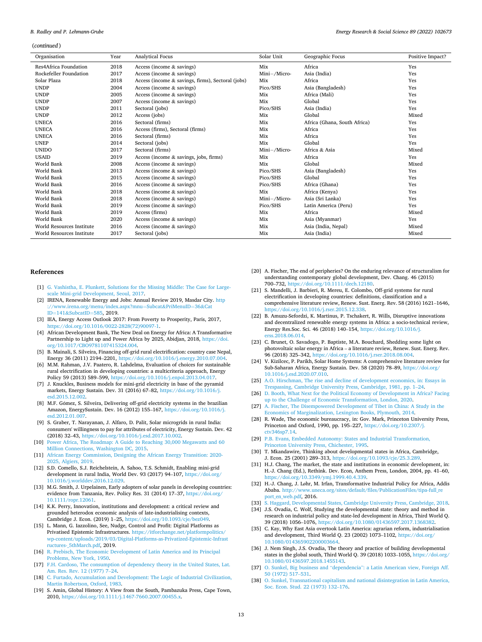#### <span id="page-12-0"></span>(*continued* )

| Organisation              | Year | <b>Analytical Focus</b>                           | Solar Unit   | Geographic Focus             | Positive Impact? |
|---------------------------|------|---------------------------------------------------|--------------|------------------------------|------------------|
| Res4Africa Foundation     | 2018 | Access (income $&$ savings)                       | Mix          | Africa                       | Yes              |
| Rockefeller Foundation    | 2017 | Access (income & savings)                         | Mini-/Micro- | Asia (India)                 | Yes              |
| Solar Plaza               | 2018 | Access (income & savings, firms), Sectoral (jobs) | Mix          | Africa                       | Yes              |
| <b>UNDP</b>               | 2004 | Access (income & savings)                         | Pico/SHS     | Asia (Bangladesh)            | Yes              |
| <b>UNDP</b>               | 2005 | Access (income $&$ savings)                       | Mix          | Africa (Mali)                | Yes              |
| <b>UNDP</b>               | 2007 | Access (income & savings)                         | Mix          | Global                       | Yes              |
| <b>UNDP</b>               | 2011 | Sectoral (jobs)                                   | Pico/SHS     | Asia (India)                 | Yes              |
| <b>UNDP</b>               | 2012 | Access (jobs)                                     | Mix          | Global                       | Mixed            |
| <b>UNECA</b>              | 2016 | Sectoral (firms)                                  | Mix          | Africa (Ghana, South Africa) | Yes              |
| <b>UNECA</b>              | 2016 | Access (firms), Sectoral (firms)                  | Mix          | Africa                       | Yes              |
| <b>UNECA</b>              | 2016 | Sectoral (firms)                                  | Mix          | Africa                       | Yes              |
| <b>UNEP</b>               | 2014 | Sectoral (jobs)                                   | Mix          | Global                       | Yes              |
| <b>UNIDO</b>              | 2017 | Sectoral (firms)                                  | Mini-/Micro- | Africa & Asia                | Mixed            |
| <b>USAID</b>              | 2019 | Access (income & savings, jobs, firms)            | Mix          | Africa                       | Yes              |
| World Bank                | 2008 | Access (income $&$ savings)                       | Mix          | Global                       | Mixed            |
| World Bank                | 2013 | Access (income $&$ savings)                       | Pico/SHS     | Asia (Bangladesh)            | Yes              |
| World Bank                | 2015 | Access (income $&$ savings)                       | Pico/SHS     | Global                       | Yes              |
| World Bank                | 2016 | Access (income $&$ savings)                       | Pico/SHS     | Africa (Ghana)               | Yes              |
| World Bank                | 2018 | Access (income & savings)                         | Mix          | Africa (Kenya)               | Yes              |
| World Bank                | 2018 | Access (income & savings)                         | Mini-/Micro- | Asia (Sri Lanka)             | Yes              |
| World Bank                | 2019 | Access (income & savings)                         | Pico/SHS     | Latin America (Peru)         | Yes              |
| World Bank                | 2019 | Access (firms)                                    | Mix          | Africa                       | Mixed            |
| World Bank                | 2020 | Access (income & savings)                         | Mix          | Asia (Myanmar)               | Yes              |
| World Resources Institute | 2016 | Access (income $&$ savings)                       | Mix          | Asia (India, Nepal)          | Mixed            |
| World Resources Institute | 2017 | Sectoral (jobs)                                   | Mix          | Asia (India)                 | Mixed            |

#### **References**

- [1] [G. Vashistha, E. Plunkett, Solutions for the Missing Middle: The Case for Large](http://refhub.elsevier.com/S2214-6296(22)00177-3/rf202205200517099816)[scale Mini-grid Development, Seoul, 2017.](http://refhub.elsevier.com/S2214-6296(22)00177-3/rf202205200517099816)
- [2] IRENA, Renewable Energy and Jobs: Annual Review 2019, Masdar City, [http](http://www.irena.org/menu/index.aspx?mnu=Subcat&PriMenuID=36&CatID=141&SubcatID=585) [://www.irena.org/menu/index.aspx?mnu](http://www.irena.org/menu/index.aspx?mnu=Subcat&PriMenuID=36&CatID=141&SubcatID=585)=Subcat&PriMenuID=36&Cat ID=141&[SubcatID](http://www.irena.org/menu/index.aspx?mnu=Subcat&PriMenuID=36&CatID=141&SubcatID=585)=585, 2019.
- [3] IEA, Energy Access Outlook 2017: From Poverty to Prosperity, Paris, 2017, [https://doi.org/10.1016/0022-2828\(72\)90097-1.](https://doi.org/10.1016/0022-2828(72)90097-1)
- [4] African Development Bank, The New Deal on Energy for Africa: A Transformative Partnership to Light up and Power Africa by 2025, Abidjan, 2018, [https://doi.](https://doi.org/10.1017/CBO9781107415324.004)  [org/10.1017/CBO9781107415324.004](https://doi.org/10.1017/CBO9781107415324.004).
- [5] B. Mainali, S. Silveira, Financing off-grid rural electrification: country case Nepal, Energy 36 (2011) 2194–2201, [https://doi.org/10.1016/j.energy.2010.07.004.](https://doi.org/10.1016/j.energy.2010.07.004)
- [6] M.M. Rahman, J.V. Paatero, R. Lahdelma, Evaluation of choices for sustainable rural electrification in developing countries: a multicriteria approach, Energy Policy 59 (2013) 589–599, [https://doi.org/10.1016/j.enpol.2013.04.017.](https://doi.org/10.1016/j.enpol.2013.04.017)
- [7] J. Knuckles, Business models for mini-grid electricity in base of the pyramid markets, Energy Sustain. Dev. 31 (2016) 67–82, [https://doi.org/10.1016/j.](https://doi.org/10.1016/j.esd.2015.12.002) [esd.2015.12.002](https://doi.org/10.1016/j.esd.2015.12.002).
- [8] M.F. Gómez, S. Silveira, Delivering off-grid electricity systems in the brazilian Amazon, EnergySustain. Dev. 16 (2012) 155–167, [https://doi.org/10.1016/j.](https://doi.org/10.1016/j.esd.2012.01.007)  [esd.2012.01.007](https://doi.org/10.1016/j.esd.2012.01.007).
- [9] S. Graber, T. Narayanan, J. Alfaro, D. Palit, Solar microgrids in rural India: consumers' willingness to pay for attributes of electricity, Energy Sustain. Dev. 42 (2018) 32–43, [https://doi.org/10.1016/j.esd.2017.10.002.](https://doi.org/10.1016/j.esd.2017.10.002)
- [10] [Power Africa, The Roadmap: A Guide to Reaching 30,000 Megawatts and 60](http://refhub.elsevier.com/S2214-6296(22)00177-3/rf202205200515191874)  [Million Connections, Washington DC, 2015](http://refhub.elsevier.com/S2214-6296(22)00177-3/rf202205200515191874).
- [11] [African Energy Commission, Designing the African Energy Transition: 2020-](http://refhub.elsevier.com/S2214-6296(22)00177-3/rf202205200404334736)  [2025, Algiers, 2019](http://refhub.elsevier.com/S2214-6296(22)00177-3/rf202205200404334736).
- [12] S.D. Comello, S.J. Reichelstein, A. Sahoo, T.S. Schmidt, Enabling mini-grid development in rural India, World Dev. 93 (2017) 94–107, [https://doi.org/](https://doi.org/10.1016/j.worlddev.2016.12.029)  [10.1016/j.worlddev.2016.12.029](https://doi.org/10.1016/j.worlddev.2016.12.029).
- [13] M.G. Smith, J. Urpelainen, Early adopters of solar panels in developing countries: evidence from Tanzania, Rev. Policy Res. 31 (2014) 17–37, [https://doi.org/](https://doi.org/10.1111/ropr.12061) [10.1111/ropr.12061](https://doi.org/10.1111/ropr.12061).
- [14] K.K. Perry, Innovation, institutions and development: a critical review and grounded heterodox economic analysis of late-industrialising contexts, Cambridge J. Econ. (2019) 1–25, <https://doi.org/10.1093/cje/bez049>.
- [15] L. Mann, G. Iazzolino, See, Nudge, Control and Profit: Digital Platforms as Privatised Epistemic Infrastructures. [https://itforchange.net/platformpolitics/](https://itforchange.net/platformpolitics/wp-content/uploads/2019/03/Digital-Platforms-as-Privatized-Epistemic-Infrastructures-_5thMarch.pdf) [wp-content/uploads/2019/03/Digital-Platforms-as-Privatized-Epistemic-Infrast](https://itforchange.net/platformpolitics/wp-content/uploads/2019/03/Digital-Platforms-as-Privatized-Epistemic-Infrastructures-_5thMarch.pdf)  [ructures-\\_5thMarch.pdf,](https://itforchange.net/platformpolitics/wp-content/uploads/2019/03/Digital-Platforms-as-Privatized-Epistemic-Infrastructures-_5thMarch.pdf) 2019.
- [16] [R. Prebisch, The Economic Development of Latin America and its Principal](http://refhub.elsevier.com/S2214-6296(22)00177-3/rf202205200514067565) [Problems, New York, 1950.](http://refhub.elsevier.com/S2214-6296(22)00177-3/rf202205200514067565)
- [17] [F.H. Cardoso, The consumption of dependency theory in the United States, Lat.](http://refhub.elsevier.com/S2214-6296(22)00177-3/rf202205200513529629)  [Am. Res. Rev. 12 \(1977\) 7](http://refhub.elsevier.com/S2214-6296(22)00177-3/rf202205200513529629)–24.
- [18] [C. Furtado, Accumulation and Development: The Logic of Industrial Civilization,](http://refhub.elsevier.com/S2214-6296(22)00177-3/rf202205200513519204)  [Martin Robertson, Oxford, 1983.](http://refhub.elsevier.com/S2214-6296(22)00177-3/rf202205200513519204)
- [19] S. Amin, Global History: A View from the South, Pambazuka Press, Cape Town, 2010,<https://doi.org/10.1111/j.1467-7660.2007.00455.x>.
- [20] A. Fischer, The end of peripheries? On the enduring relevance of structuralism for understanding contemporary global development, Dev. Chang. 46 (2015) 700–732, [https://doi.org/10.1111/dech.12180.](https://doi.org/10.1111/dech.12180)
- [21] S. Mandelli, J. Barbieri, R. Mereu, E. Colombo, Off-grid systems for rural electrification in developing countries: definitions, classification and a comprehensive literature review, Renew. Sust. Energ. Rev. 58 (2016) 1621–1646, [https://doi.org/10.1016/j.rser.2015.12.338.](https://doi.org/10.1016/j.rser.2015.12.338)
- [22] B. Amuzu-Sefordzi, K. Martinus, P. Tschakert, R. Wills, Disruptive innovations and decentralized renewable energy systems in Africa: a socio-technical review, Energy Res.Soc. Sci. 46 (2018) 140–154, [https://doi.org/10.1016/j.](https://doi.org/10.1016/j.erss.2018.06.014)  [erss.2018.06.014](https://doi.org/10.1016/j.erss.2018.06.014).
- [23] C. Brunet, O. Savadogo, P. Baptiste, M.A. Bouchard, Shedding some light on photovoltaic solar energy in Africa – a literature review, Renew. Sust. Energ. Rev. 96 (2018) 325–342,<https://doi.org/10.1016/j.rser.2018.08.004>.
- V. Kizilcec, P. Parikh, Solar Home Systems: A comprehensive literature review for Sub-Saharan Africa, Energy Sustain. Dev. 58 (2020) 78–89, [https://doi.org/](https://doi.org/10.1016/j.esd.2020.07.010)  [10.1016/j.esd.2020.07.010](https://doi.org/10.1016/j.esd.2020.07.010).
- [25] A.O. Hirschman, The rise and decline of development economics, in: Essays in [Trespassing, Cambridge University Press, Cambridge, 1981, pp. 1](http://refhub.elsevier.com/S2214-6296(22)00177-3/rf202205200406024745)–24.
- [26] D. Booth, What Next for the Political Economy of Development in Africa? Facing [up to the Challenge of Economic Transformation, London, 2020.](http://refhub.elsevier.com/S2214-6296(22)00177-3/rf202205200511071125)
- [27] [A. Fischer, The Disempowered Development of Tibet in China: A Study in the](http://refhub.elsevier.com/S2214-6296(22)00177-3/rf202205200459397592) [Economics of Marginalization, Lexington Books, Plymouth, 2014.](http://refhub.elsevier.com/S2214-6296(22)00177-3/rf202205200459397592)
- [28] R. Wade, The economic bureaucracy, in: Gov. Mark, Princeton University Press, Princeton and Oxford, 1990, pp. 195–227, [https://doi.org/10.2307/j.](https://doi.org/10.2307/j.ctv346sp7.14)  [ctv346sp7.14](https://doi.org/10.2307/j.ctv346sp7.14).
- [29] [P.B. Evans, Embedded Autonomy: States and Industrial Transformation,](http://refhub.elsevier.com/S2214-6296(22)00177-3/rf202205200458584838)  [Princeton University Press, Chichester, 1995.](http://refhub.elsevier.com/S2214-6296(22)00177-3/rf202205200458584838)
- [30] T. Mkandawire, Thinking about developmental states in Africa, Cambridge, J. Econ. 25 (2001) 289–313, <https://doi.org/10.1093/cje/25.3.289>.
- [31] H.J. Chang, The market, the state and institutions in economic development, in: H.-J. Chang (Ed.), Rethink. Dev. Econ, Anthem Press, London, 2004, pp. 41–60, [https://doi.org/10.3349/ymj.1999.40.4.339.](https://doi.org/10.3349/ymj.1999.40.4.339)
- [32] H.-J. Chang, J. Løhr, M. Irfan, Transformative Industrial Policy for Africa, Addis Ababa. [http://www.uneca.org/sites/default/files/PublicationFiles/tipa-full\\_re](http://www.uneca.org/sites/default/files/PublicationFiles/tipa-full_report_en_web.pdf) [port\\_en\\_web.pdf,](http://www.uneca.org/sites/default/files/PublicationFiles/tipa-full_report_en_web.pdf) 2016.
- [33] [S. Haggard, Developmental States, Cambridge University Press, Cambridge, 2018.](http://refhub.elsevier.com/S2214-6296(22)00177-3/rf202205200458344641) [34] J.S. Ovadia, C. Wolf, Studying the developmental state: theory and method in research on industrial policy and state-led development in Africa, Third World Q.
- 39 (2018) 1056–1076, <https://doi.org/10.1080/01436597.2017.1368382>. [35] C. Kay, Why East Asia overtook Latin America: agrarian reform, industrialisation
- and development, Third World Q. 23 (2002) 1073–1102, [https://doi.org/](https://doi.org/10.1080/014365902200003664)  [10.1080/014365902200003664](https://doi.org/10.1080/014365902200003664). [36] J. Nem Singh, J.S. Ovadia, The theory and practice of building developmental
- states in the global south, Third World Q. 39 (2018) 1033–1055, [https://doi.org/](https://doi.org/10.1080/01436597.2018.1455143)  [10.1080/01436597.2018.1455143](https://doi.org/10.1080/01436597.2018.1455143).
- [37] O. Sunkel, Big business and "dependencia"[: a Latin American view, Foreign Aff.](http://refhub.elsevier.com/S2214-6296(22)00177-3/rf202205200458176472) [50 \(1972\) 517](http://refhub.elsevier.com/S2214-6296(22)00177-3/rf202205200458176472)–531.
- [38] [O. Sunkel, Transnational capitalism and national disintegration in Latin America,](http://refhub.elsevier.com/S2214-6296(22)00177-3/rf202205200458060203)  [Soc. Econ. Stud. 22 \(1973\) 132](http://refhub.elsevier.com/S2214-6296(22)00177-3/rf202205200458060203)–176.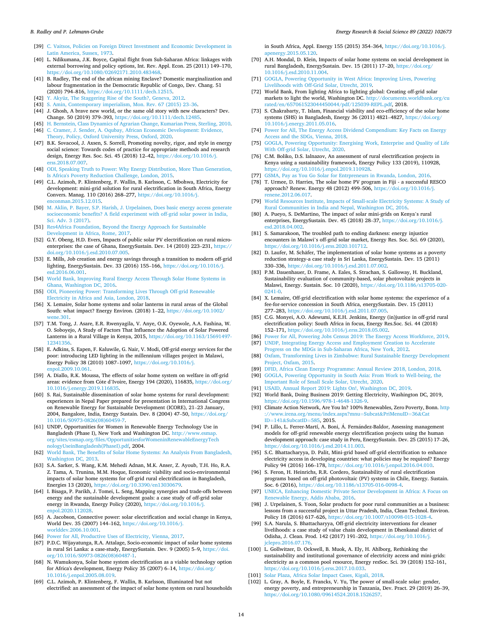- <span id="page-13-0"></span>[39] [C. Vaitsos, Policies on Foreign Direct Investment and Economic Development in](http://refhub.elsevier.com/S2214-6296(22)00177-3/rf202205200437166381) [Latin America, Sussex, 1973.](http://refhub.elsevier.com/S2214-6296(22)00177-3/rf202205200437166381)
- [40] L. Ndikumana, J.K. Boyce, Capital flight from Sub-Saharan Africa: linkages with external borrowing and policy options, Int. Rev. Appl. Econ. 25 (2011) 149–170, <https://doi.org/10.1080/02692171.2010.483468>.
- [41] B. Radley, The end of the african mining Enclave? Domestic marginalization and labour fragmentation in the Democratic Republic of Congo, Dev. Chang. 51 (2020) 794–816, [https://doi.org/10.1111/dech.12515.](https://doi.org/10.1111/dech.12515)
- [42] [Y. Akyüz, The Staggering Rise of the South?, Geneva, 2012](http://refhub.elsevier.com/S2214-6296(22)00177-3/rf202205200438432689).
- [43] [S. Amin, Contemporary imperialism, Mon. Rev. 67 \(2015\) 23](http://refhub.elsevier.com/S2214-6296(22)00177-3/rf202205200438449731)–36.
- [44] J. Ghosh, A brave new world, or the same old story with new characters? Dev. Change. 50 (2019) 379–393, <https://doi.org/10.1111/dech.12485>.
- [45] [H. Bernstein, Class Dynamics of Agrarian Change, Kumarian Press, Sterling, 2010.](http://refhub.elsevier.com/S2214-6296(22)00177-3/rf202205200438552748)
- [46] [C. Cramer, J. Sender, A. Oqubay, African Economic Development: Evidence,](http://refhub.elsevier.com/S2214-6296(22)00177-3/rf202205200439346845)  [Theory, Policy, Oxford University Press, Oxford, 2020](http://refhub.elsevier.com/S2214-6296(22)00177-3/rf202205200439346845).
- [47] B.K. Sovacool, J. Axsen, S. Sorrell, Promoting novelty, rigor, and style in energy social science: Towards codes of practice for appropriate methods and research design, Energy Res. Soc. Sci. 45 (2018) 12–42, [https://doi.org/10.1016/j.](https://doi.org/10.1016/j.erss.2018.07.007)  erss. 2018.07.007
- [48] [ODI, Speaking Truth to Power: Why Energy Distribution, More Than Generation,](http://refhub.elsevier.com/S2214-6296(22)00177-3/rf202205200441143661)  [Is Africa's Poverty Reduction Challenge, London, 2015.](http://refhub.elsevier.com/S2214-6296(22)00177-3/rf202205200441143661)
- [49] C.L. Azimoh, P. Klintenberg, F. Wallin, B. Karlsson, C. Mbohwa, Electricity for development: mini-grid solution for rural electrification in South Africa, Energy Convers. Manag. 110 (2016) 268–277, [https://doi.org/10.1016/j.](https://doi.org/10.1016/j.enconman.2015.12.015)  [enconman.2015.12.015.](https://doi.org/10.1016/j.enconman.2015.12.015)
- [50] [M. Aklin, P. Bayer, S.P. Harish, J. Urpelainen, Does basic energy access generate](http://refhub.elsevier.com/S2214-6296(22)00177-3/rf202205200304384597)  [socioeconomic benefits? A field experiment with off-grid solar power in India,](http://refhub.elsevier.com/S2214-6296(22)00177-3/rf202205200304384597)  [Sci. Adv. 3 \(2017\)](http://refhub.elsevier.com/S2214-6296(22)00177-3/rf202205200304384597).
- [51] [Res4Africa Foundation, Beyond the Energy Approach for Sustainable](http://refhub.elsevier.com/S2214-6296(22)00177-3/rf202205200305390547)  [Development in Africa, Rome, 2017.](http://refhub.elsevier.com/S2214-6296(22)00177-3/rf202205200305390547)
- [52] G.Y. Obeng, H.D. Evers, Impacts of public solar PV electrification on rural microenterprises: the case of Ghana, EnergySustain. Dev. 14 (2010) 223–231, [https://](https://doi.org/10.1016/j.esd.2010.07.005)  [doi.org/10.1016/j.esd.2010.07.005](https://doi.org/10.1016/j.esd.2010.07.005).
- [53] E. Mills, Job creation and energy savings through a transition to modern off-grid lighting, EnergySustain. Dev. 33 (2016) 155–166, [https://doi.org/10.1016/j.](https://doi.org/10.1016/j.esd.2016.06.001) [esd.2016.06.001](https://doi.org/10.1016/j.esd.2016.06.001).
- [54] [World Bank, Improving Rural Energy Access Through Solar Home Systems in](http://refhub.elsevier.com/S2214-6296(22)00177-3/rf202205200305303853)  [Ghana, Washington DC, 2016.](http://refhub.elsevier.com/S2214-6296(22)00177-3/rf202205200305303853)
- [55] [ODI, Pioneering Power: Transforming Lives Through Off-grid Renewable](http://refhub.elsevier.com/S2214-6296(22)00177-3/rf202205200442114047) [Electricity in Africa and Asia, London, 2018.](http://refhub.elsevier.com/S2214-6296(22)00177-3/rf202205200442114047)
- [56] X. Lemaire, Solar home systems and solar lanterns in rural areas of the Global South: what impact? Energy Environ. (2018) 1–22, [https://doi.org/10.1002/](https://doi.org/10.1002/wene.301)   $ene.301.$
- [57] T.M. Tong, J. Asare, E.R. Rwenyagila, V. Anye, O.K. Oyewole, A.A. Fashina, W. O. Soboyejo, A Study of Factors That Influence the Adoption of Solar Powered Lanterns in a Rural Village in Kenya, 2015, [https://doi.org/10.1163/15691497-](https://doi.org/10.1163/15691497-12341356)  [12341356.](https://doi.org/10.1163/15691497-12341356)
- [58] E. Adkins, S. Eapen, F. Kaluwile, G. Nair, V. Modi, Off-grid energy services for the poor: introducing LED lighting in the millennium villages project in Malawi, Energy Policy 38 (2010) 1087–1097, [https://doi.org/10.1016/j.](https://doi.org/10.1016/j.enpol.2009.10.061) [enpol.2009.10.061](https://doi.org/10.1016/j.enpol.2009.10.061).
- [59] A. Diallo, R.K. Moussa, The effects of solar home system on welfare in off-grid areas: evidence from Côte d'Ivoire, Energy 194 (2020), 116835, https://doi.org/ [10.1016/j.energy.2019.116835.](https://doi.org/10.1016/j.energy.2019.116835)
- [60] S. Rai, Sustainable dissemination of solar home systems for rural development: experiences in Nepal Paper prepared for presentation in International Congress on Renewable Energy for Sustainable Development (ICORE), 21–23 January, 2004, Bangalore, India, Energy Sustain. Dev. 8 (2004) 47–50, [https://doi.org/](https://doi.org/10.1016/S0973-0826(08)60459-7)  [10.1016/S0973-0826\(08\)60459-7](https://doi.org/10.1016/S0973-0826(08)60459-7).
- [61] UNDP, Opportunities for Women in Renewable Energy Technology Use in Bangladesh (Phase I), New York and Washington DC. [http://www.esmap.](http://www.esmap.org/sites/esmap.org/files/OpportunitiesforWomeninRenewableEnergyTechnologyUseinBangladesh(PhaseI).pdf) [org/sites/esmap.org/files/OpportunitiesforWomeninRenewableEnergyTech](http://www.esmap.org/sites/esmap.org/files/OpportunitiesforWomeninRenewableEnergyTechnologyUseinBangladesh(PhaseI).pdf)  [nologyUseinBangladesh\(PhaseI\).pdf](http://www.esmap.org/sites/esmap.org/files/OpportunitiesforWomeninRenewableEnergyTechnologyUseinBangladesh(PhaseI).pdf), 2004.
- [62] [World Bank, The Benefits of Solar Home Systems: An Analysis From Bangladesh,](http://refhub.elsevier.com/S2214-6296(22)00177-3/rf202205200305580302)  [Washington DC, 2013](http://refhub.elsevier.com/S2214-6296(22)00177-3/rf202205200305580302).
- [63] S.A. Sarker, S. Wang, K.M. Mehedi Adnan, M.K. Anser, Z. Ayoub, T.H. Ho, R.A. Z. Tama, A. Trunina, M.M. Hoque, Economic viability and socio-environmental impacts of solar home systems for off-grid rural electrification in Bangladesh, Energies 13 (2020), [https://doi.org/10.3390/en13030679.](https://doi.org/10.3390/en13030679)
- [64] I. Bisaga, P. Parikh, J. Tomei, L. Seng, Mapping synergies and trade-offs between energy and the sustainable development goals: a case study of off-grid solar energy in Rwanda, Energy Policy (2020), https://doi.org/10.1016/j [enpol.2020.112028](https://doi.org/10.1016/j.enpol.2020.112028).
- [65] A. Jacobson, Connective power: solar electrification and social change in Kenya, World Dev. 35 (2007) 144–162, [https://doi.org/10.1016/j.](https://doi.org/10.1016/j.worlddev.2006.10.001) [worlddev.2006.10.001](https://doi.org/10.1016/j.worlddev.2006.10.001).
- [66] [Power for All, Productive Uses of Electricity, Vienna, 2017.](http://refhub.elsevier.com/S2214-6296(22)00177-3/rf202205200445510854)
- [67] P.D.C. Wijayatunga, R.A. Attalage, Socio-economic impact of solar home systems in rural Sri Lanka: a case-study, EnergySustain. Dev. 9 (2005) 5–9, [https://doi.](https://doi.org/10.1016/S0973-0826(08)60487-1)  rg/10.1016/S0973-0826(08)60487-1.
- [68] N. Wamukonya, Solar home system electrification as a viable technology option for Africa's development, Energy Policy 35 (2007) 6–14, [https://doi.org/](https://doi.org/10.1016/j.enpol.2005.08.019)  [10.1016/j.enpol.2005.08.019.](https://doi.org/10.1016/j.enpol.2005.08.019)
- [69] C.L. Azimoh, P. Klintenberg, F. Wallin, B. Karlsson, Illuminated but not electrified: an assessment of the impact of solar home system on rural households

in South Africa, Appl. Energy 155 (2015) 354–364, [https://doi.org/10.1016/j.](https://doi.org/10.1016/j.apenergy.2015.05.120) [apenergy.2015.05.120.](https://doi.org/10.1016/j.apenergy.2015.05.120)

- [70] A.H. Mondal, D. Klein, Impacts of solar home systems on social development in rural Bangladesh, EnergySustain. Dev. 15 (2011) 17–20, [https://doi.org/](https://doi.org/10.1016/j.esd.2010.11.004) [10.1016/j.esd.2010.11.004](https://doi.org/10.1016/j.esd.2010.11.004).
- [71] [GOGLA, Powering Opportunity in West Africa: Improving Lives, Powering](http://refhub.elsevier.com/S2214-6296(22)00177-3/rf202205200446222411)  [Livelihoods with Off-Grid Solar, Utrecht, 2019.](http://refhub.elsevier.com/S2214-6296(22)00177-3/rf202205200446222411)
- [72] World Bank, From lighting Africa to lighting global: Creating off-grid solar markets to light the world, Washington DC. [http://documents.worldbank.org/cu](http://documents.worldbank.org/curated/en/657061523044450044/pdf/125039-REPL.pdf)  [rated/en/657061523044450044/pdf/125039-REPL.pdf](http://documents.worldbank.org/curated/en/657061523044450044/pdf/125039-REPL.pdf), 2018.
- S. Chakrabarty, T. Islam, Financial viability and eco-efficiency of the solar home systems (SHS) in Bangladesh, Energy 36 (2011) 4821–4827, [https://doi.org/](https://doi.org/10.1016/j.energy.2011.05.016)  [10.1016/j.energy.2011.05.016.](https://doi.org/10.1016/j.energy.2011.05.016)
- [74] [Power for All, The Energy Access Dividend Compendium: Key Facts on Energy](http://refhub.elsevier.com/S2214-6296(22)00177-3/rf202205200311085985)  [Access and the SDGs, Vienna, 2018](http://refhub.elsevier.com/S2214-6296(22)00177-3/rf202205200311085985).
- [75] [GOGLA, Powering Opportunity: Energising Work, Enterprise and Quality of Life](http://refhub.elsevier.com/S2214-6296(22)00177-3/rf202205200446549595) [With Off-grid Solar, Utrecht, 2020](http://refhub.elsevier.com/S2214-6296(22)00177-3/rf202205200446549595).
- [76] C.M. Boliko, D.S. Ialnazov, An assessment of rural electrification projects in Kenya using a sustainability framework, Energy Policy 133 (2019), 110928, [https://doi.org/10.1016/j.enpol.2019.110928.](https://doi.org/10.1016/j.enpol.2019.110928)
- [77] [GSMA, Pay as You Go Solar for Entrpreneurs in Rwanda, London, 2016](http://refhub.elsevier.com/S2214-6296(22)00177-3/rf202205200447140870).
- [78] T. Urmee, D. Harries, The solar home PV program in Fiji a successful RESCO approach? Renew. Energy 48 (2012) 499–506, [https://doi.org/10.1016/j.](https://doi.org/10.1016/j.renene.2012.06.017)  [renene.2012.06.017.](https://doi.org/10.1016/j.renene.2012.06.017)
- [79] [World Resources Institute, Impacts of Small-scale Electricity Systems: A Study of](http://refhub.elsevier.com/S2214-6296(22)00177-3/rf202205200311293943)  [Rural Communities in India and Nepal, Washington DC, 2016.](http://refhub.elsevier.com/S2214-6296(22)00177-3/rf202205200311293943)
- [80] A. Pueyo, S. DeMartino, The impact of solar mini-grids on Kenya's rural enterprises, EnergySustain. Dev. 45 (2018) 28–37, [https://doi.org/10.1016/j.](https://doi.org/10.1016/j.esd.2018.04.002) [esd.2018.04.002](https://doi.org/10.1016/j.esd.2018.04.002).
- [81] S. Samarakoon, The troubled path to ending darkness: energy injustice encounters in Malawi's off-grid solar market, Energy Res. Soc. Sci. 69 (2020), [https://doi.org/10.1016/j.erss.2020.101712.](https://doi.org/10.1016/j.erss.2020.101712)
- [82] D. Laufer, M. Schäfer, The implementation of solar home systems as a poverty reduction strategy-a case study in Sri Lanka, EnergySustain. Dev. 15 (2011) 330–336, <https://doi.org/10.1016/j.esd.2011.07.002>.
- [83] P.M. Dauenhauer, D. Frame, A. Eales, S. Strachan, S. Galloway, H. Buckland, Sustainability evaluation of community-based, solar photovoltaic projects in Malawi, Energy. Sustain. Soc. 10 (2020), [https://doi.org/10.1186/s13705-020-](https://doi.org/10.1186/s13705-020-0241-0) [0241-0](https://doi.org/10.1186/s13705-020-0241-0).
- [84] X. Lemaire, Off-grid electrification with solar home systems: the experience of a fee-for-service concession in South Africa, energySustain. Dev. 15 (2011) 277–283, <https://doi.org/10.1016/j.esd.2011.07.005>.
- [85] C.G. Monyei, A.O. Adewumi, K.E.H. Jenkins, Energy (in)justice in off-grid rural electrification policy: South Africa in focus, Energy Res.Soc. Sci. 44 (2018) 152–171, [https://doi.org/10.1016/j.erss.2018.05.002.](https://doi.org/10.1016/j.erss.2018.05.002)
- [86] [Power for All, Powering Jobs Census 2019: The Energy Access Workforce, 2019.](http://refhub.elsevier.com/S2214-6296(22)00177-3/rf202205200448366382) [87] [UNDP, Integrating Energy Access and Employment Creation to Accelerate](http://refhub.elsevier.com/S2214-6296(22)00177-3/rf202205200448464121)  [Progress on the MDGs in Sub-Saharan Africa, New York, 2012.](http://refhub.elsevier.com/S2214-6296(22)00177-3/rf202205200448464121)
- [88] [Oxfam, Transforming Lives in Zimbabwe: Rural Sustainable Energy Development](http://refhub.elsevier.com/S2214-6296(22)00177-3/rf202205200448546254)  [Project, Oxfam, 2015.](http://refhub.elsevier.com/S2214-6296(22)00177-3/rf202205200448546254)
- [89] [DFID, Africa Clean Energy Programme: Annual Review 2018, London, 2018.](http://refhub.elsevier.com/S2214-6296(22)00177-3/rf202205200312402287) [90] [GOGLA, Powering Opportunity in South Asia: From Work to Well-being, the](http://refhub.elsevier.com/S2214-6296(22)00177-3/rf202205200449050016)
- [Important Role of Small Scale Solar, Utrecht, 2020](http://refhub.elsevier.com/S2214-6296(22)00177-3/rf202205200449050016). [91] [USAID, Annual Report 2019: Lights On!, Washington DC, 2019](http://refhub.elsevier.com/S2214-6296(22)00177-3/rf202205200313187698).
- [92] World Bank, Doing Business 2019: Getting Electricity, Washington DC, 2019, [https://doi.org/10.1596/978-1-4648-1326-9.](https://doi.org/10.1596/978-1-4648-1326-9)
- [93] Climate Action Network, Are You In? 100% Renewables, Zero Poverty, Bonn. http [://www.irena.org/menu/index.aspx?mnu](http://www.irena.org/menu/index.aspx?mnu=Subcat&PriMenuID=36&CatID=141&SubcatID=585)=Subcat&PriMenuID=36&Cat ID=141&[SubcatID](http://www.irena.org/menu/index.aspx?mnu=Subcat&PriMenuID=36&CatID=141&SubcatID=585)=585, 2015.
- [94] P. Lillo, L. Ferrer-Martí, A. Boni, Á. Fernández-Baldor, Assessing management models for off-grid renewable energy electrification projects using the human development approach: case study in Peru, EnergySustain. Dev. 25 (2015) 17–26, <https://doi.org/10.1016/j.esd.2014.11.003>.
- [95] S.C. Bhattacharyya, D. Palit, Mini-grid based off-grid electrification to enhance electricity access in developing countries: what policies may be required? Energy Policy 94 (2016) 166–178, [https://doi.org/10.1016/j.enpol.2016.04.010.](https://doi.org/10.1016/j.enpol.2016.04.010)
- [96] S. Feron, H. Heinrichs, R.R. Cordero, Sustainability of rural electrification programs based on off-grid photovoltaic (PV) systems in Chile, Energy. Sustain. Soc. 6 (2016), [https://doi.org/10.1186/s13705-016-0098-4.](https://doi.org/10.1186/s13705-016-0098-4)
- UNECA, Enhancing Domestic Private Sector Development in Africa: A Focus on [Renewable Energy, Addis Ababa, 2016.](http://refhub.elsevier.com/S2214-6296(22)00177-3/rf202205200450244569)
- [98] J. Urpelainen, S. Yoon, Solar products for poor rural communities as a business: lessons from a successful project in Uttar Pradesh, India, Clean Technol. Environ. Policy 18 (2016) 617–626, [https://doi.org/10.1007/s10098-015-1028-4.](https://doi.org/10.1007/s10098-015-1028-4)
- [99] S.A. Narula, S. Bhattacharyya, Off-grid electricity interventions for cleaner livelihoods: a case study of value chain development in Dhenkanal district of Odisha, J. Clean. Prod. 142 (2017) 191–202, [https://doi.org/10.1016/j.](https://doi.org/10.1016/j.jclepro.2016.07.176)  clepro.2016.07.176
- [100] L. Gollwitzer, D. Ockwell, B. Muok, A. Ely, H. Ahlborg, Rethinking the sustainability and institutional governance of electricity access and mini-grids: electricity as a common pool resource, Energy resSoc. Sci. 39 (2018) 152–161, [https://doi.org/10.1016/j.erss.2017.10.033.](https://doi.org/10.1016/j.erss.2017.10.033)
- [101] [Solar Plaza, Africa Solar Impact Cases, Kigali, 2018.](http://refhub.elsevier.com/S2214-6296(22)00177-3/rf202205200452414217)
- [102] L. Gray, A. Boyle, E. Francks, V. Yu, The power of small-scale solar: gender, energy poverty, and entrepreneurship in Tanzania, Dev. Pract. 29 (2019) 26–39, <https://doi.org/10.1080/09614524.2018.1526257>.